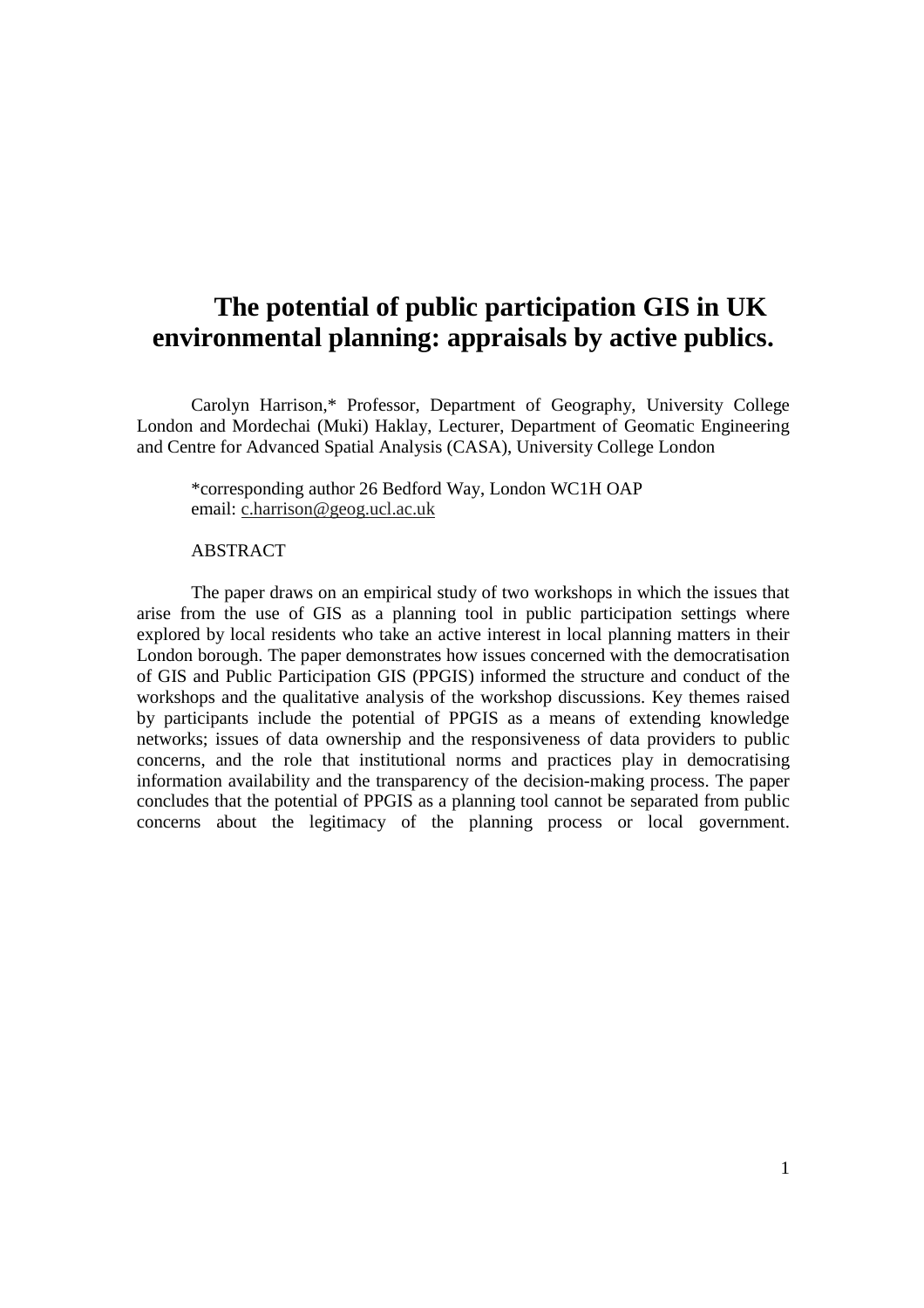# **The potential of public participation GIS in UK environmental planning: appraisals by active publics.**

Carolyn Harrison,\* Professor, Department of Geography, University College London and Mordechai (Muki) Haklay, Lecturer, Department of Geomatic Engineering and Centre for Advanced Spatial Analysis (CASA), University College London

\*corresponding author 26 Bedford Way, London WC1H OAP email: c.harrison@geog.ucl.ac.uk

#### ABSTRACT

The paper draws on an empirical study of two workshops in which the issues that arise from the use of GIS as a planning tool in public participation settings where explored by local residents who take an active interest in local planning matters in their London borough. The paper demonstrates how issues concerned with the democratisation of GIS and Public Participation GIS (PPGIS) informed the structure and conduct of the workshops and the qualitative analysis of the workshop discussions. Key themes raised by participants include the potential of PPGIS as a means of extending knowledge networks; issues of data ownership and the responsiveness of data providers to public concerns, and the role that institutional norms and practices play in democratising information availability and the transparency of the decision-making process. The paper concludes that the potential of PPGIS as a planning tool cannot be separated from public concerns about the legitimacy of the planning process or local government.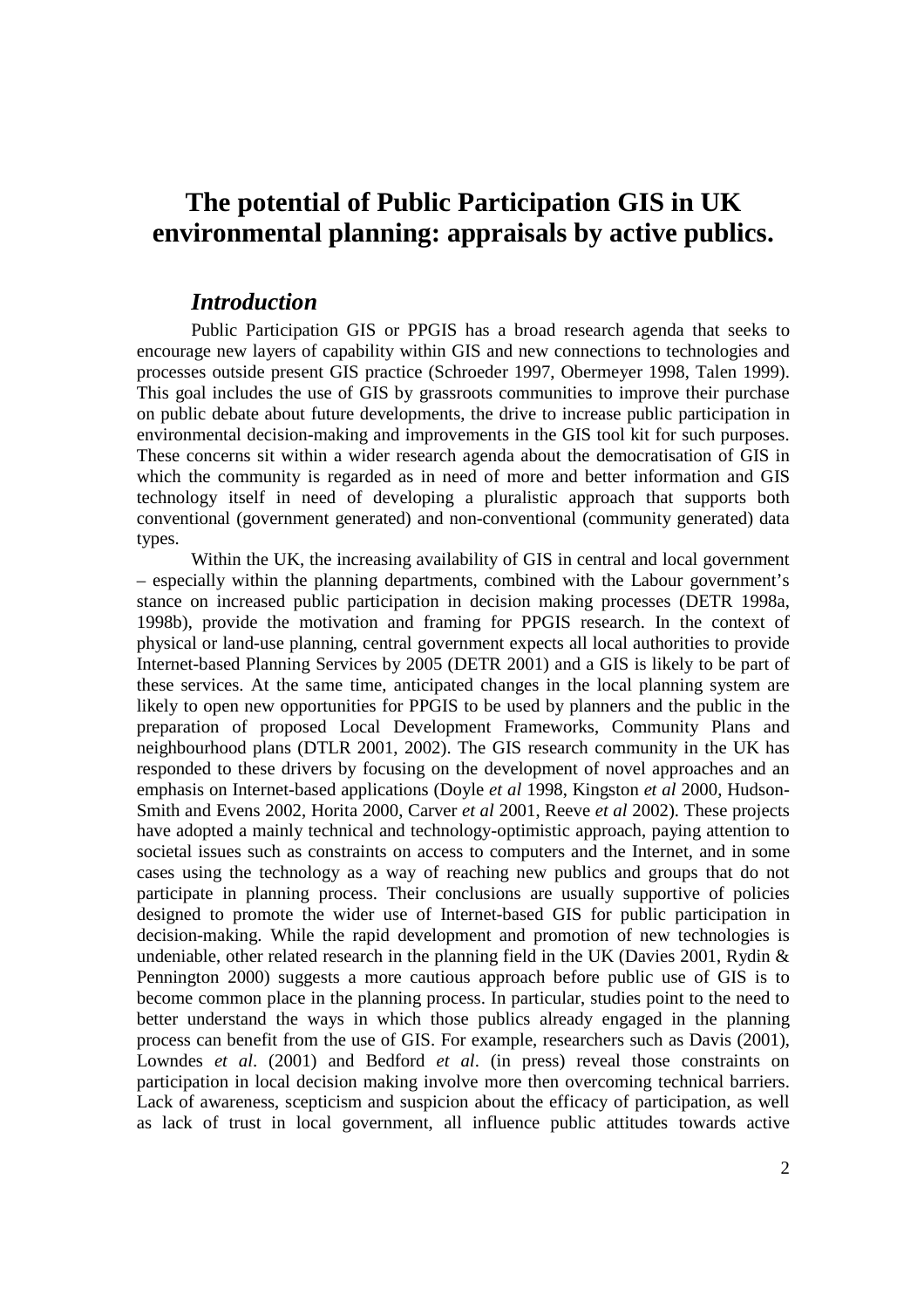# **The potential of Public Participation GIS in UK environmental planning: appraisals by active publics.**

### *Introduction*

Public Participation GIS or PPGIS has a broad research agenda that seeks to encourage new layers of capability within GIS and new connections to technologies and processes outside present GIS practice (Schroeder 1997, Obermeyer 1998, Talen 1999). This goal includes the use of GIS by grassroots communities to improve their purchase on public debate about future developments, the drive to increase public participation in environmental decision-making and improvements in the GIS tool kit for such purposes. These concerns sit within a wider research agenda about the democratisation of GIS in which the community is regarded as in need of more and better information and GIS technology itself in need of developing a pluralistic approach that supports both conventional (government generated) and non-conventional (community generated) data types.

Within the UK, the increasing availability of GIS in central and local government – especially within the planning departments, combined with the Labour government's stance on increased public participation in decision making processes (DETR 1998a, 1998b), provide the motivation and framing for PPGIS research. In the context of physical or land-use planning, central government expects all local authorities to provide Internet-based Planning Services by 2005 (DETR 2001) and a GIS is likely to be part of these services. At the same time, anticipated changes in the local planning system are likely to open new opportunities for PPGIS to be used by planners and the public in the preparation of proposed Local Development Frameworks, Community Plans and neighbourhood plans (DTLR 2001, 2002). The GIS research community in the UK has responded to these drivers by focusing on the development of novel approaches and an emphasis on Internet-based applications (Doyle *et al* 1998, Kingston *et al* 2000, Hudson-Smith and Evens 2002, Horita 2000, Carver *et al* 2001, Reeve *et al* 2002). These projects have adopted a mainly technical and technology-optimistic approach, paying attention to societal issues such as constraints on access to computers and the Internet, and in some cases using the technology as a way of reaching new publics and groups that do not participate in planning process. Their conclusions are usually supportive of policies designed to promote the wider use of Internet-based GIS for public participation in decision-making. While the rapid development and promotion of new technologies is undeniable, other related research in the planning field in the UK (Davies 2001, Rydin & Pennington 2000) suggests a more cautious approach before public use of GIS is to become common place in the planning process. In particular, studies point to the need to better understand the ways in which those publics already engaged in the planning process can benefit from the use of GIS. For example, researchers such as Davis (2001), Lowndes *et al*. (2001) and Bedford *et al*. (in press) reveal those constraints on participation in local decision making involve more then overcoming technical barriers. Lack of awareness, scepticism and suspicion about the efficacy of participation, as well as lack of trust in local government, all influence public attitudes towards active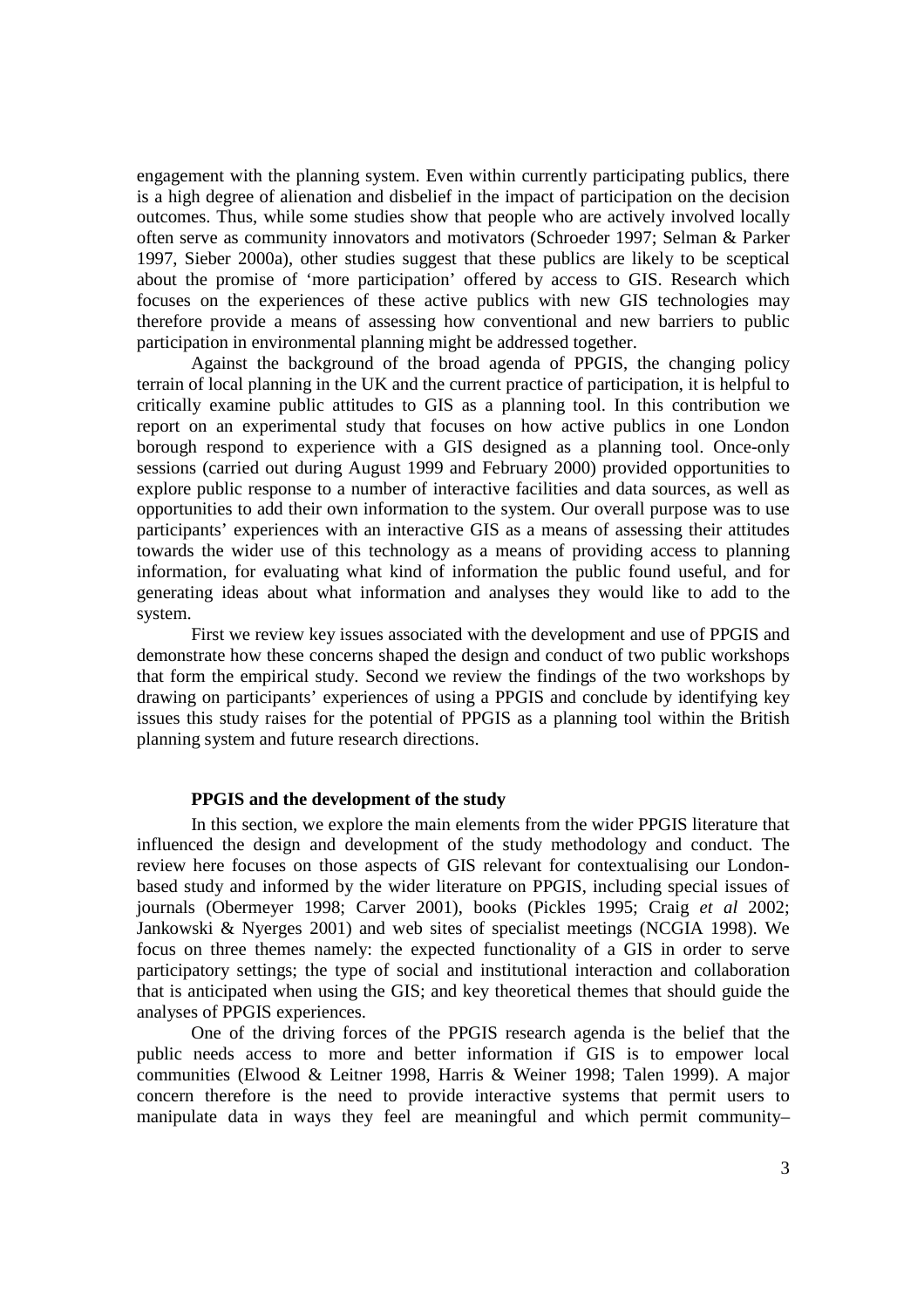engagement with the planning system. Even within currently participating publics, there is a high degree of alienation and disbelief in the impact of participation on the decision outcomes. Thus, while some studies show that people who are actively involved locally often serve as community innovators and motivators (Schroeder 1997; Selman & Parker 1997, Sieber 2000a), other studies suggest that these publics are likely to be sceptical about the promise of 'more participation' offered by access to GIS. Research which focuses on the experiences of these active publics with new GIS technologies may therefore provide a means of assessing how conventional and new barriers to public participation in environmental planning might be addressed together.

Against the background of the broad agenda of PPGIS, the changing policy terrain of local planning in the UK and the current practice of participation, it is helpful to critically examine public attitudes to GIS as a planning tool. In this contribution we report on an experimental study that focuses on how active publics in one London borough respond to experience with a GIS designed as a planning tool. Once-only sessions (carried out during August 1999 and February 2000) provided opportunities to explore public response to a number of interactive facilities and data sources, as well as opportunities to add their own information to the system. Our overall purpose was to use participants' experiences with an interactive GIS as a means of assessing their attitudes towards the wider use of this technology as a means of providing access to planning information, for evaluating what kind of information the public found useful, and for generating ideas about what information and analyses they would like to add to the system.

First we review key issues associated with the development and use of PPGIS and demonstrate how these concerns shaped the design and conduct of two public workshops that form the empirical study. Second we review the findings of the two workshops by drawing on participants' experiences of using a PPGIS and conclude by identifying key issues this study raises for the potential of PPGIS as a planning tool within the British planning system and future research directions.

### **PPGIS and the development of the study**

In this section, we explore the main elements from the wider PPGIS literature that influenced the design and development of the study methodology and conduct. The review here focuses on those aspects of GIS relevant for contextualising our Londonbased study and informed by the wider literature on PPGIS, including special issues of journals (Obermeyer 1998; Carver 2001), books (Pickles 1995; Craig *et al* 2002; Jankowski & Nyerges 2001) and web sites of specialist meetings (NCGIA 1998). We focus on three themes namely: the expected functionality of a GIS in order to serve participatory settings; the type of social and institutional interaction and collaboration that is anticipated when using the GIS; and key theoretical themes that should guide the analyses of PPGIS experiences.

One of the driving forces of the PPGIS research agenda is the belief that the public needs access to more and better information if GIS is to empower local communities (Elwood & Leitner 1998, Harris & Weiner 1998; Talen 1999). A major concern therefore is the need to provide interactive systems that permit users to manipulate data in ways they feel are meaningful and which permit community–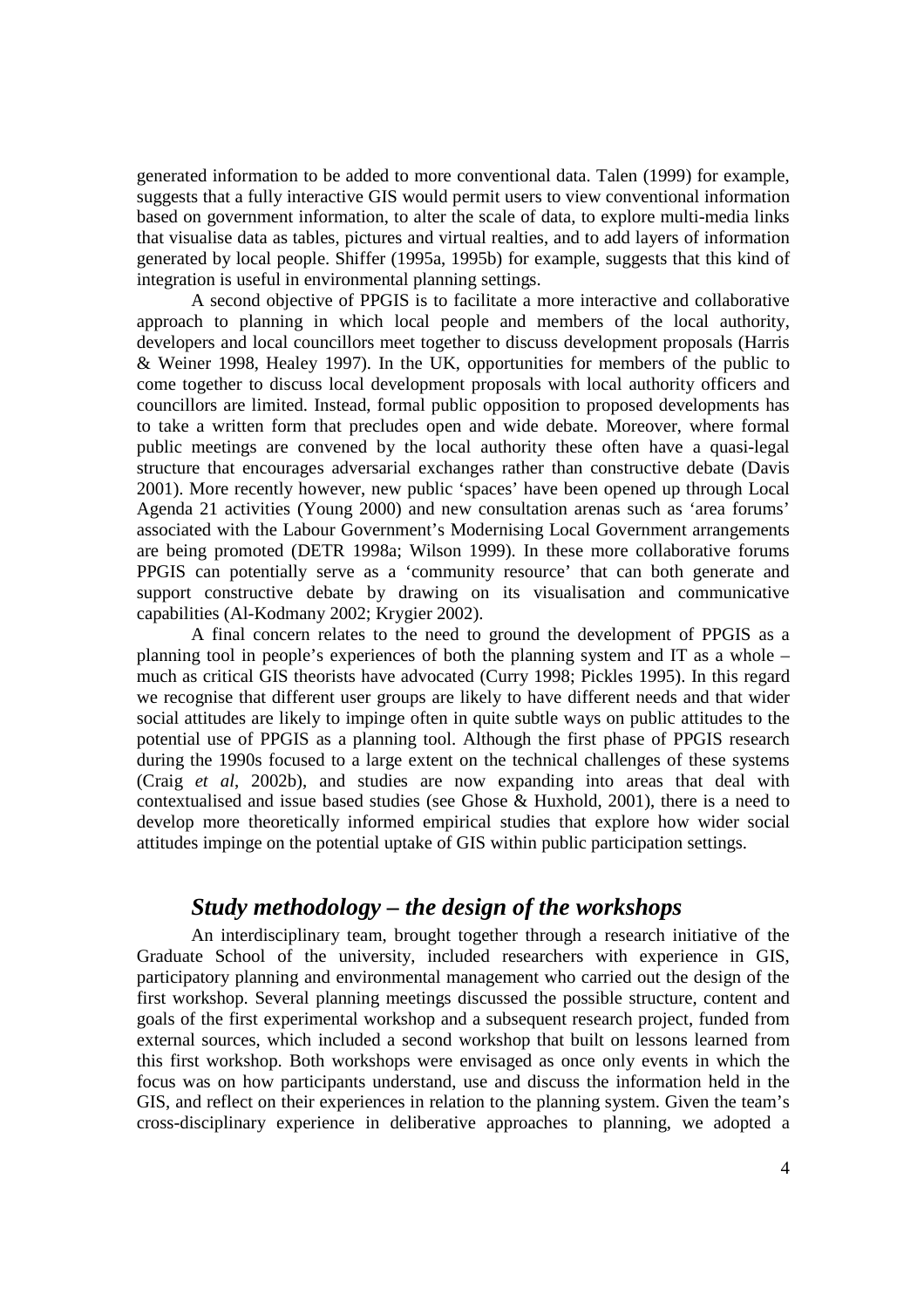generated information to be added to more conventional data. Talen (1999) for example, suggests that a fully interactive GIS would permit users to view conventional information based on government information, to alter the scale of data, to explore multi-media links that visualise data as tables, pictures and virtual realties, and to add layers of information generated by local people. Shiffer (1995a, 1995b) for example, suggests that this kind of integration is useful in environmental planning settings.

A second objective of PPGIS is to facilitate a more interactive and collaborative approach to planning in which local people and members of the local authority, developers and local councillors meet together to discuss development proposals (Harris & Weiner 1998, Healey 1997). In the UK, opportunities for members of the public to come together to discuss local development proposals with local authority officers and councillors are limited. Instead, formal public opposition to proposed developments has to take a written form that precludes open and wide debate. Moreover, where formal public meetings are convened by the local authority these often have a quasi-legal structure that encourages adversarial exchanges rather than constructive debate (Davis 2001). More recently however, new public 'spaces' have been opened up through Local Agenda 21 activities (Young 2000) and new consultation arenas such as 'area forums' associated with the Labour Government's Modernising Local Government arrangements are being promoted (DETR 1998a; Wilson 1999). In these more collaborative forums PPGIS can potentially serve as a 'community resource' that can both generate and support constructive debate by drawing on its visualisation and communicative capabilities (Al-Kodmany 2002; Krygier 2002).

A final concern relates to the need to ground the development of PPGIS as a planning tool in people's experiences of both the planning system and IT as a whole – much as critical GIS theorists have advocated (Curry 1998; Pickles 1995). In this regard we recognise that different user groups are likely to have different needs and that wider social attitudes are likely to impinge often in quite subtle ways on public attitudes to the potential use of PPGIS as a planning tool. Although the first phase of PPGIS research during the 1990s focused to a large extent on the technical challenges of these systems (Craig *et al*, 2002b), and studies are now expanding into areas that deal with contextualised and issue based studies (see Ghose & Huxhold, 2001), there is a need to develop more theoretically informed empirical studies that explore how wider social attitudes impinge on the potential uptake of GIS within public participation settings.

# *Study methodology – the design of the workshops*

An interdisciplinary team, brought together through a research initiative of the Graduate School of the university, included researchers with experience in GIS, participatory planning and environmental management who carried out the design of the first workshop. Several planning meetings discussed the possible structure, content and goals of the first experimental workshop and a subsequent research project, funded from external sources, which included a second workshop that built on lessons learned from this first workshop. Both workshops were envisaged as once only events in which the focus was on how participants understand, use and discuss the information held in the GIS, and reflect on their experiences in relation to the planning system. Given the team's cross-disciplinary experience in deliberative approaches to planning, we adopted a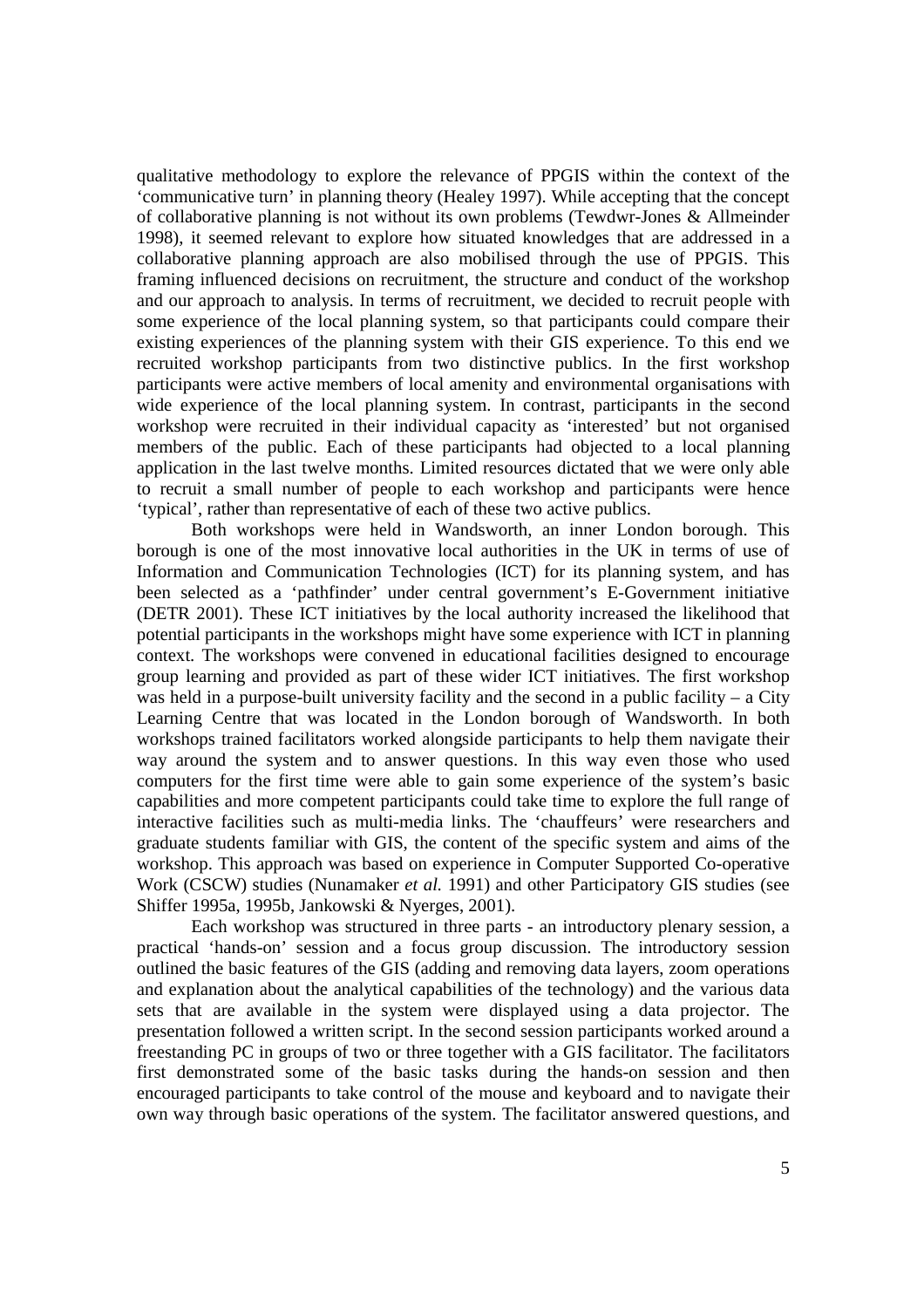qualitative methodology to explore the relevance of PPGIS within the context of the 'communicative turn' in planning theory (Healey 1997). While accepting that the concept of collaborative planning is not without its own problems (Tewdwr-Jones & Allmeinder 1998), it seemed relevant to explore how situated knowledges that are addressed in a collaborative planning approach are also mobilised through the use of PPGIS. This framing influenced decisions on recruitment, the structure and conduct of the workshop and our approach to analysis. In terms of recruitment, we decided to recruit people with some experience of the local planning system, so that participants could compare their existing experiences of the planning system with their GIS experience. To this end we recruited workshop participants from two distinctive publics. In the first workshop participants were active members of local amenity and environmental organisations with wide experience of the local planning system. In contrast, participants in the second workshop were recruited in their individual capacity as 'interested' but not organised members of the public. Each of these participants had objected to a local planning application in the last twelve months. Limited resources dictated that we were only able to recruit a small number of people to each workshop and participants were hence 'typical', rather than representative of each of these two active publics.

Both workshops were held in Wandsworth, an inner London borough. This borough is one of the most innovative local authorities in the UK in terms of use of Information and Communication Technologies (ICT) for its planning system, and has been selected as a 'pathfinder' under central government's E-Government initiative (DETR 2001). These ICT initiatives by the local authority increased the likelihood that potential participants in the workshops might have some experience with ICT in planning context. The workshops were convened in educational facilities designed to encourage group learning and provided as part of these wider ICT initiatives. The first workshop was held in a purpose-built university facility and the second in a public facility – a City Learning Centre that was located in the London borough of Wandsworth. In both workshops trained facilitators worked alongside participants to help them navigate their way around the system and to answer questions. In this way even those who used computers for the first time were able to gain some experience of the system's basic capabilities and more competent participants could take time to explore the full range of interactive facilities such as multi-media links. The 'chauffeurs' were researchers and graduate students familiar with GIS, the content of the specific system and aims of the workshop. This approach was based on experience in Computer Supported Co-operative Work (CSCW) studies (Nunamaker *et al.* 1991) and other Participatory GIS studies (see Shiffer 1995a, 1995b, Jankowski & Nyerges, 2001).

Each workshop was structured in three parts - an introductory plenary session, a practical 'hands-on' session and a focus group discussion. The introductory session outlined the basic features of the GIS (adding and removing data layers, zoom operations and explanation about the analytical capabilities of the technology) and the various data sets that are available in the system were displayed using a data projector. The presentation followed a written script. In the second session participants worked around a freestanding PC in groups of two or three together with a GIS facilitator. The facilitators first demonstrated some of the basic tasks during the hands-on session and then encouraged participants to take control of the mouse and keyboard and to navigate their own way through basic operations of the system. The facilitator answered questions, and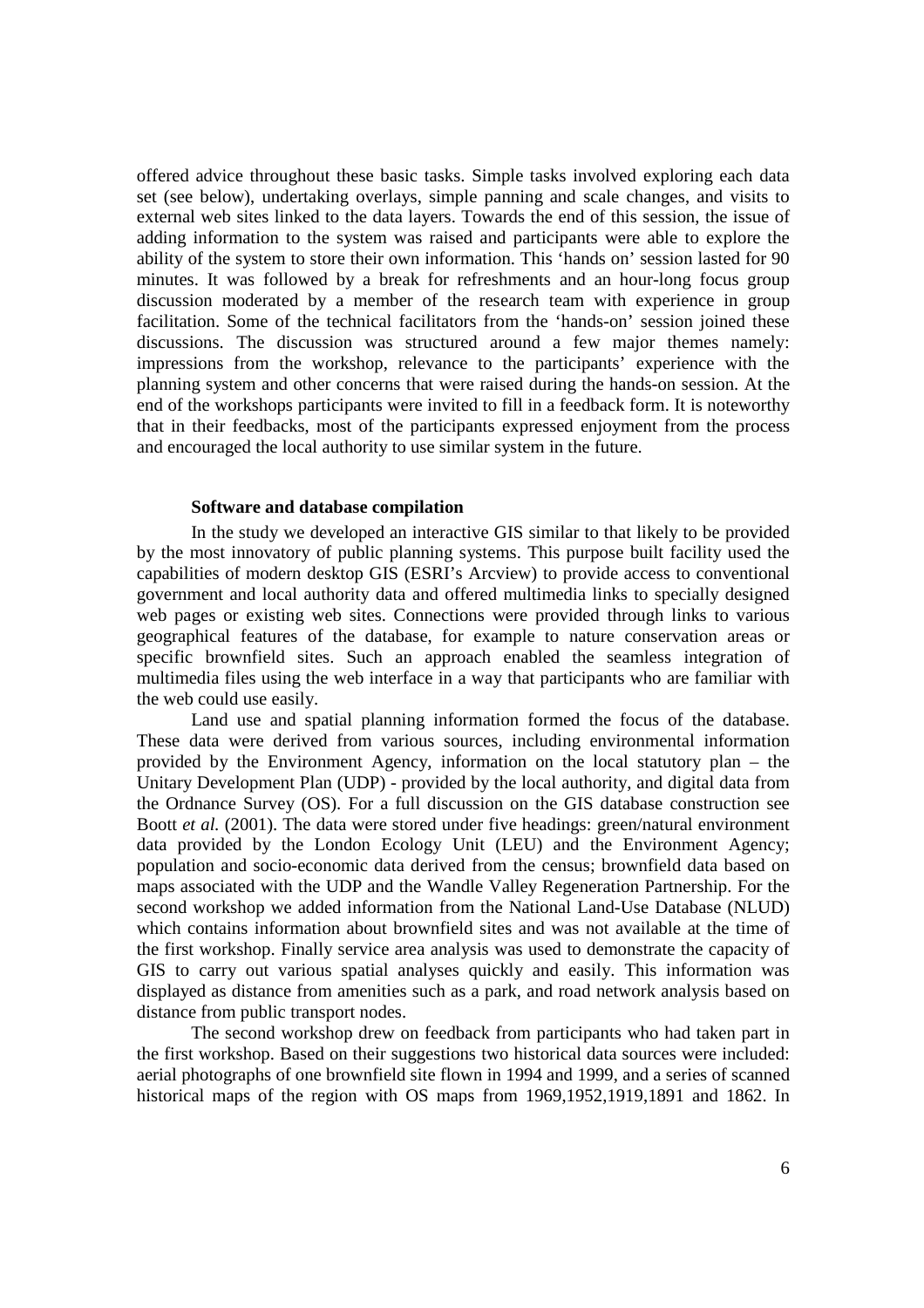offered advice throughout these basic tasks. Simple tasks involved exploring each data set (see below), undertaking overlays, simple panning and scale changes, and visits to external web sites linked to the data layers. Towards the end of this session, the issue of adding information to the system was raised and participants were able to explore the ability of the system to store their own information. This 'hands on' session lasted for 90 minutes. It was followed by a break for refreshments and an hour-long focus group discussion moderated by a member of the research team with experience in group facilitation. Some of the technical facilitators from the 'hands-on' session joined these discussions. The discussion was structured around a few major themes namely: impressions from the workshop, relevance to the participants' experience with the planning system and other concerns that were raised during the hands-on session. At the end of the workshops participants were invited to fill in a feedback form. It is noteworthy that in their feedbacks, most of the participants expressed enjoyment from the process and encouraged the local authority to use similar system in the future.

### **Software and database compilation**

In the study we developed an interactive GIS similar to that likely to be provided by the most innovatory of public planning systems. This purpose built facility used the capabilities of modern desktop GIS (ESRI's Arcview) to provide access to conventional government and local authority data and offered multimedia links to specially designed web pages or existing web sites. Connections were provided through links to various geographical features of the database, for example to nature conservation areas or specific brownfield sites. Such an approach enabled the seamless integration of multimedia files using the web interface in a way that participants who are familiar with the web could use easily.

Land use and spatial planning information formed the focus of the database. These data were derived from various sources, including environmental information provided by the Environment Agency, information on the local statutory plan – the Unitary Development Plan (UDP) - provided by the local authority, and digital data from the Ordnance Survey (OS). For a full discussion on the GIS database construction see Boott *et al.* (2001). The data were stored under five headings: green/natural environment data provided by the London Ecology Unit (LEU) and the Environment Agency; population and socio-economic data derived from the census; brownfield data based on maps associated with the UDP and the Wandle Valley Regeneration Partnership. For the second workshop we added information from the National Land-Use Database (NLUD) which contains information about brownfield sites and was not available at the time of the first workshop. Finally service area analysis was used to demonstrate the capacity of GIS to carry out various spatial analyses quickly and easily. This information was displayed as distance from amenities such as a park, and road network analysis based on distance from public transport nodes.

The second workshop drew on feedback from participants who had taken part in the first workshop. Based on their suggestions two historical data sources were included: aerial photographs of one brownfield site flown in 1994 and 1999, and a series of scanned historical maps of the region with OS maps from 1969,1952,1919,1891 and 1862. In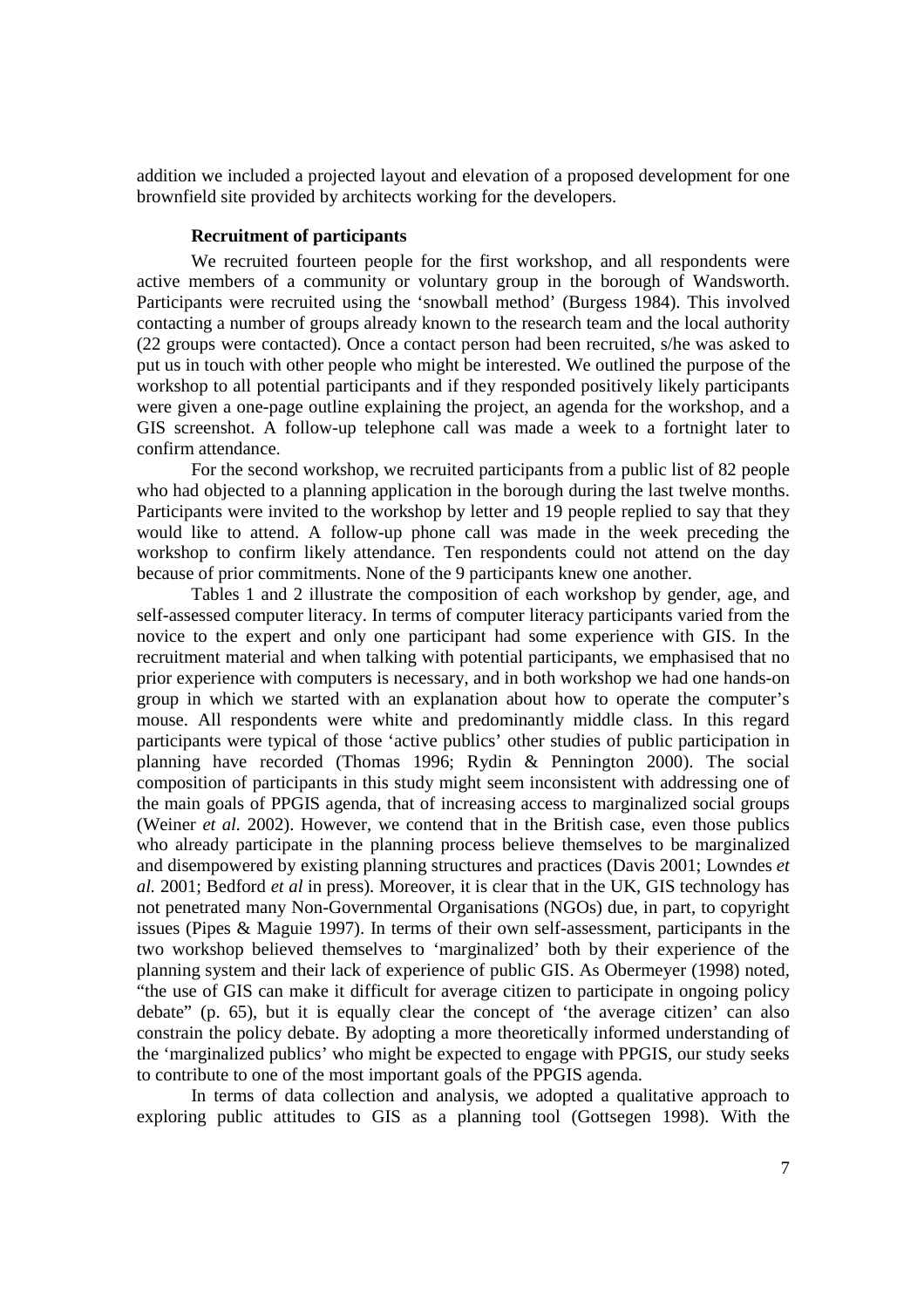addition we included a projected layout and elevation of a proposed development for one brownfield site provided by architects working for the developers.

### **Recruitment of participants**

We recruited fourteen people for the first workshop, and all respondents were active members of a community or voluntary group in the borough of Wandsworth. Participants were recruited using the 'snowball method' (Burgess 1984). This involved contacting a number of groups already known to the research team and the local authority (22 groups were contacted). Once a contact person had been recruited, s/he was asked to put us in touch with other people who might be interested. We outlined the purpose of the workshop to all potential participants and if they responded positively likely participants were given a one-page outline explaining the project, an agenda for the workshop, and a GIS screenshot. A follow-up telephone call was made a week to a fortnight later to confirm attendance.

For the second workshop, we recruited participants from a public list of 82 people who had objected to a planning application in the borough during the last twelve months. Participants were invited to the workshop by letter and 19 people replied to say that they would like to attend. A follow-up phone call was made in the week preceding the workshop to confirm likely attendance. Ten respondents could not attend on the day because of prior commitments. None of the 9 participants knew one another.

Tables 1 and 2 illustrate the composition of each workshop by gender, age, and self-assessed computer literacy. In terms of computer literacy participants varied from the novice to the expert and only one participant had some experience with GIS. In the recruitment material and when talking with potential participants, we emphasised that no prior experience with computers is necessary, and in both workshop we had one hands-on group in which we started with an explanation about how to operate the computer's mouse. All respondents were white and predominantly middle class. In this regard participants were typical of those 'active publics' other studies of public participation in planning have recorded (Thomas 1996; Rydin & Pennington 2000). The social composition of participants in this study might seem inconsistent with addressing one of the main goals of PPGIS agenda, that of increasing access to marginalized social groups (Weiner *et al.* 2002). However, we contend that in the British case, even those publics who already participate in the planning process believe themselves to be marginalized and disempowered by existing planning structures and practices (Davis 2001; Lowndes *et al.* 2001; Bedford *et al* in press). Moreover, it is clear that in the UK, GIS technology has not penetrated many Non-Governmental Organisations (NGOs) due, in part, to copyright issues (Pipes & Maguie 1997). In terms of their own self-assessment, participants in the two workshop believed themselves to 'marginalized' both by their experience of the planning system and their lack of experience of public GIS. As Obermeyer (1998) noted, "the use of GIS can make it difficult for average citizen to participate in ongoing policy debate" (p. 65), but it is equally clear the concept of 'the average citizen' can also constrain the policy debate. By adopting a more theoretically informed understanding of the 'marginalized publics' who might be expected to engage with PPGIS, our study seeks to contribute to one of the most important goals of the PPGIS agenda.

In terms of data collection and analysis, we adopted a qualitative approach to exploring public attitudes to GIS as a planning tool (Gottsegen 1998). With the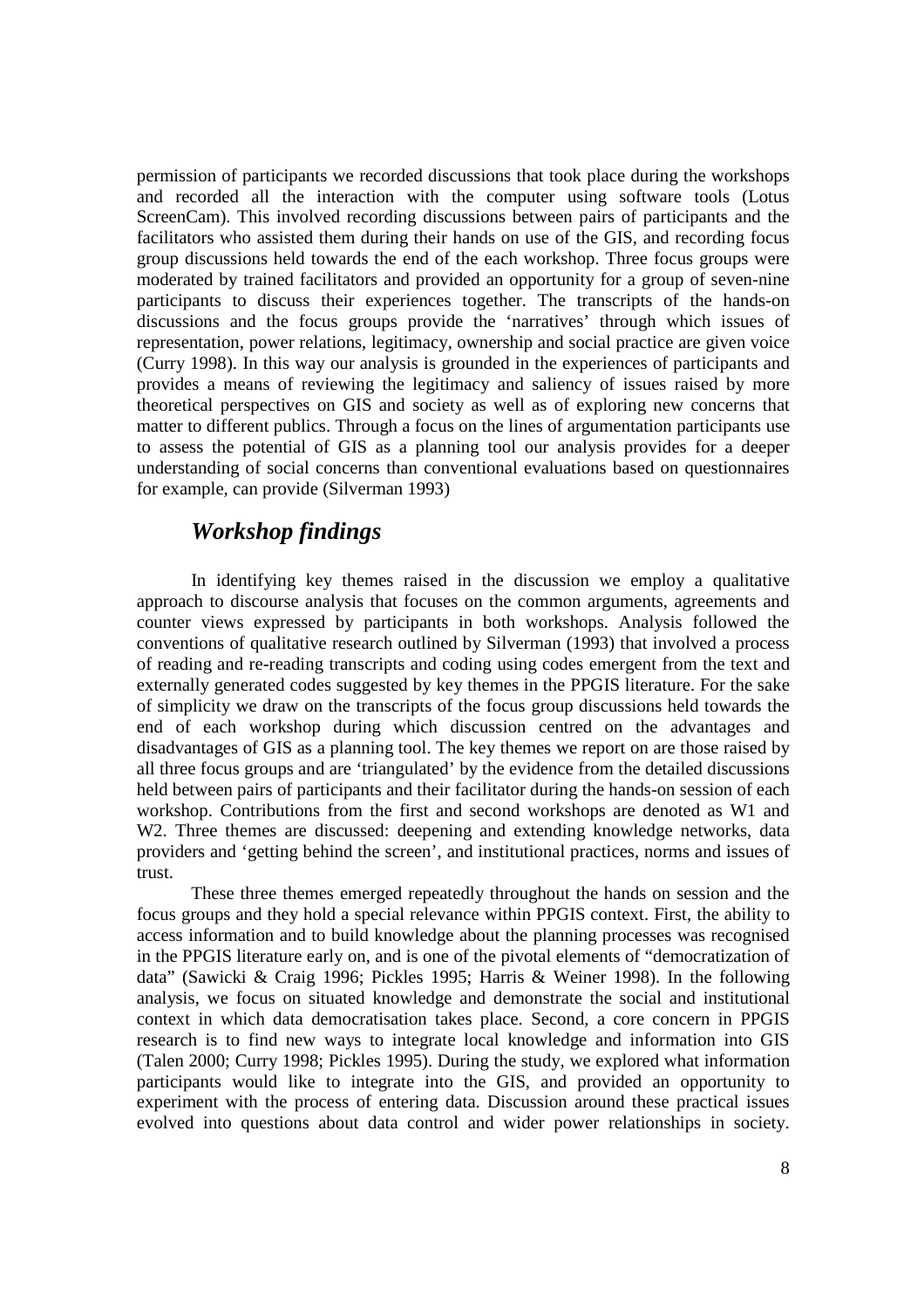permission of participants we recorded discussions that took place during the workshops and recorded all the interaction with the computer using software tools (Lotus ScreenCam). This involved recording discussions between pairs of participants and the facilitators who assisted them during their hands on use of the GIS, and recording focus group discussions held towards the end of the each workshop. Three focus groups were moderated by trained facilitators and provided an opportunity for a group of seven-nine participants to discuss their experiences together. The transcripts of the hands-on discussions and the focus groups provide the 'narratives' through which issues of representation, power relations, legitimacy, ownership and social practice are given voice (Curry 1998). In this way our analysis is grounded in the experiences of participants and provides a means of reviewing the legitimacy and saliency of issues raised by more theoretical perspectives on GIS and society as well as of exploring new concerns that matter to different publics. Through a focus on the lines of argumentation participants use to assess the potential of GIS as a planning tool our analysis provides for a deeper understanding of social concerns than conventional evaluations based on questionnaires for example, can provide (Silverman 1993)

# *Workshop findings*

In identifying key themes raised in the discussion we employ a qualitative approach to discourse analysis that focuses on the common arguments, agreements and counter views expressed by participants in both workshops. Analysis followed the conventions of qualitative research outlined by Silverman (1993) that involved a process of reading and re-reading transcripts and coding using codes emergent from the text and externally generated codes suggested by key themes in the PPGIS literature. For the sake of simplicity we draw on the transcripts of the focus group discussions held towards the end of each workshop during which discussion centred on the advantages and disadvantages of GIS as a planning tool. The key themes we report on are those raised by all three focus groups and are 'triangulated' by the evidence from the detailed discussions held between pairs of participants and their facilitator during the hands-on session of each workshop. Contributions from the first and second workshops are denoted as W1 and W<sub>2</sub>. Three themes are discussed: deepening and extending knowledge networks, data providers and 'getting behind the screen', and institutional practices, norms and issues of trust.

These three themes emerged repeatedly throughout the hands on session and the focus groups and they hold a special relevance within PPGIS context. First, the ability to access information and to build knowledge about the planning processes was recognised in the PPGIS literature early on, and is one of the pivotal elements of "democratization of data" (Sawicki & Craig 1996; Pickles 1995; Harris & Weiner 1998). In the following analysis, we focus on situated knowledge and demonstrate the social and institutional context in which data democratisation takes place. Second, a core concern in PPGIS research is to find new ways to integrate local knowledge and information into GIS (Talen 2000; Curry 1998; Pickles 1995). During the study, we explored what information participants would like to integrate into the GIS, and provided an opportunity to experiment with the process of entering data. Discussion around these practical issues evolved into questions about data control and wider power relationships in society.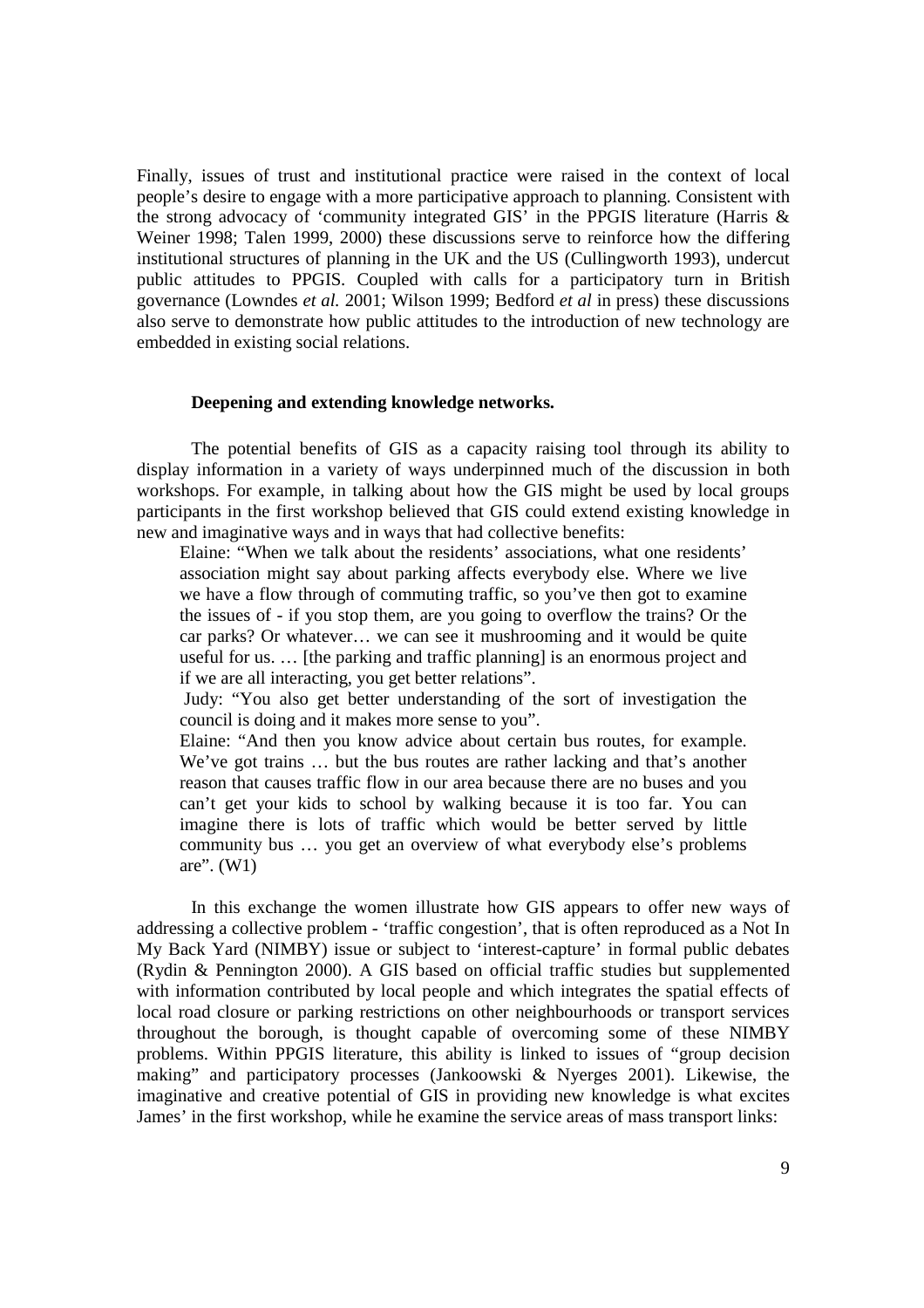Finally, issues of trust and institutional practice were raised in the context of local people's desire to engage with a more participative approach to planning. Consistent with the strong advocacy of 'community integrated GIS' in the PPGIS literature (Harris & Weiner 1998; Talen 1999, 2000) these discussions serve to reinforce how the differing institutional structures of planning in the UK and the US (Cullingworth 1993), undercut public attitudes to PPGIS. Coupled with calls for a participatory turn in British governance (Lowndes *et al.* 2001; Wilson 1999; Bedford *et al* in press) these discussions also serve to demonstrate how public attitudes to the introduction of new technology are embedded in existing social relations.

#### **Deepening and extending knowledge networks.**

The potential benefits of GIS as a capacity raising tool through its ability to display information in a variety of ways underpinned much of the discussion in both workshops. For example, in talking about how the GIS might be used by local groups participants in the first workshop believed that GIS could extend existing knowledge in new and imaginative ways and in ways that had collective benefits:

Elaine: "When we talk about the residents' associations, what one residents' association might say about parking affects everybody else. Where we live we have a flow through of commuting traffic, so you've then got to examine the issues of - if you stop them, are you going to overflow the trains? Or the car parks? Or whatever… we can see it mushrooming and it would be quite useful for us. … [the parking and traffic planning] is an enormous project and if we are all interacting, you get better relations".

 Judy: "You also get better understanding of the sort of investigation the council is doing and it makes more sense to you".

Elaine: "And then you know advice about certain bus routes, for example. We've got trains ... but the bus routes are rather lacking and that's another reason that causes traffic flow in our area because there are no buses and you can't get your kids to school by walking because it is too far. You can imagine there is lots of traffic which would be better served by little community bus … you get an overview of what everybody else's problems are". (W1)

In this exchange the women illustrate how GIS appears to offer new ways of addressing a collective problem - 'traffic congestion', that is often reproduced as a Not In My Back Yard (NIMBY) issue or subject to 'interest-capture' in formal public debates (Rydin & Pennington 2000). A GIS based on official traffic studies but supplemented with information contributed by local people and which integrates the spatial effects of local road closure or parking restrictions on other neighbourhoods or transport services throughout the borough, is thought capable of overcoming some of these NIMBY problems. Within PPGIS literature, this ability is linked to issues of "group decision making" and participatory processes (Jankoowski & Nyerges 2001). Likewise, the imaginative and creative potential of GIS in providing new knowledge is what excites James' in the first workshop, while he examine the service areas of mass transport links: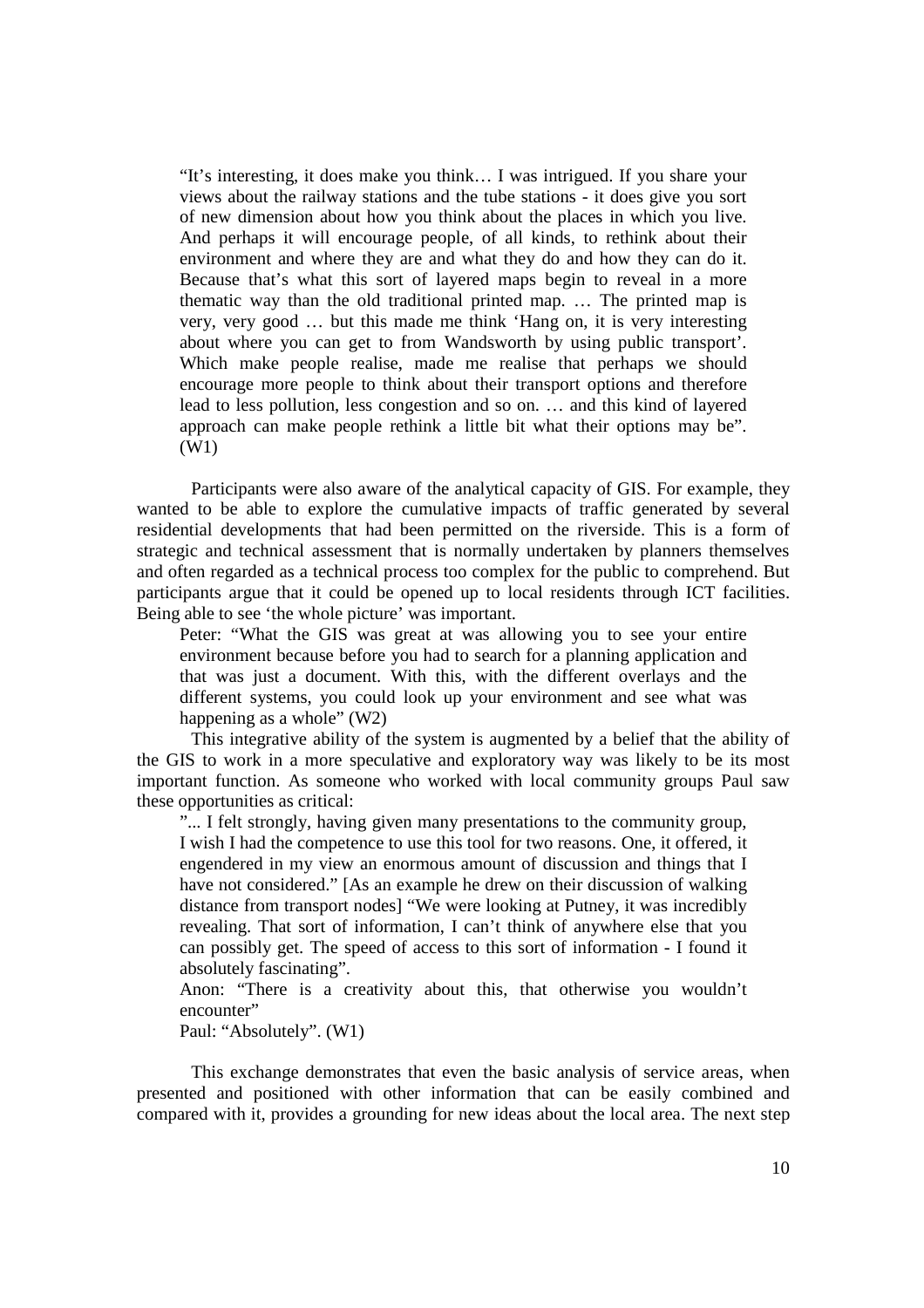"It's interesting, it does make you think… I was intrigued. If you share your views about the railway stations and the tube stations - it does give you sort of new dimension about how you think about the places in which you live. And perhaps it will encourage people, of all kinds, to rethink about their environment and where they are and what they do and how they can do it. Because that's what this sort of layered maps begin to reveal in a more thematic way than the old traditional printed map. … The printed map is very, very good … but this made me think 'Hang on, it is very interesting about where you can get to from Wandsworth by using public transport'. Which make people realise, made me realise that perhaps we should encourage more people to think about their transport options and therefore lead to less pollution, less congestion and so on. … and this kind of layered approach can make people rethink a little bit what their options may be". (W1)

Participants were also aware of the analytical capacity of GIS. For example, they wanted to be able to explore the cumulative impacts of traffic generated by several residential developments that had been permitted on the riverside. This is a form of strategic and technical assessment that is normally undertaken by planners themselves and often regarded as a technical process too complex for the public to comprehend. But participants argue that it could be opened up to local residents through ICT facilities. Being able to see 'the whole picture' was important.

Peter: "What the GIS was great at was allowing you to see your entire environment because before you had to search for a planning application and that was just a document. With this, with the different overlays and the different systems, you could look up your environment and see what was happening as a whole" (W2)

This integrative ability of the system is augmented by a belief that the ability of the GIS to work in a more speculative and exploratory way was likely to be its most important function. As someone who worked with local community groups Paul saw these opportunities as critical:

"... I felt strongly, having given many presentations to the community group, I wish I had the competence to use this tool for two reasons. One, it offered, it engendered in my view an enormous amount of discussion and things that I have not considered." [As an example he drew on their discussion of walking distance from transport nodes] "We were looking at Putney, it was incredibly revealing. That sort of information, I can't think of anywhere else that you can possibly get. The speed of access to this sort of information - I found it absolutely fascinating".

Anon: "There is a creativity about this, that otherwise you wouldn't encounter"

Paul: "Absolutely". (W1)

This exchange demonstrates that even the basic analysis of service areas, when presented and positioned with other information that can be easily combined and compared with it, provides a grounding for new ideas about the local area. The next step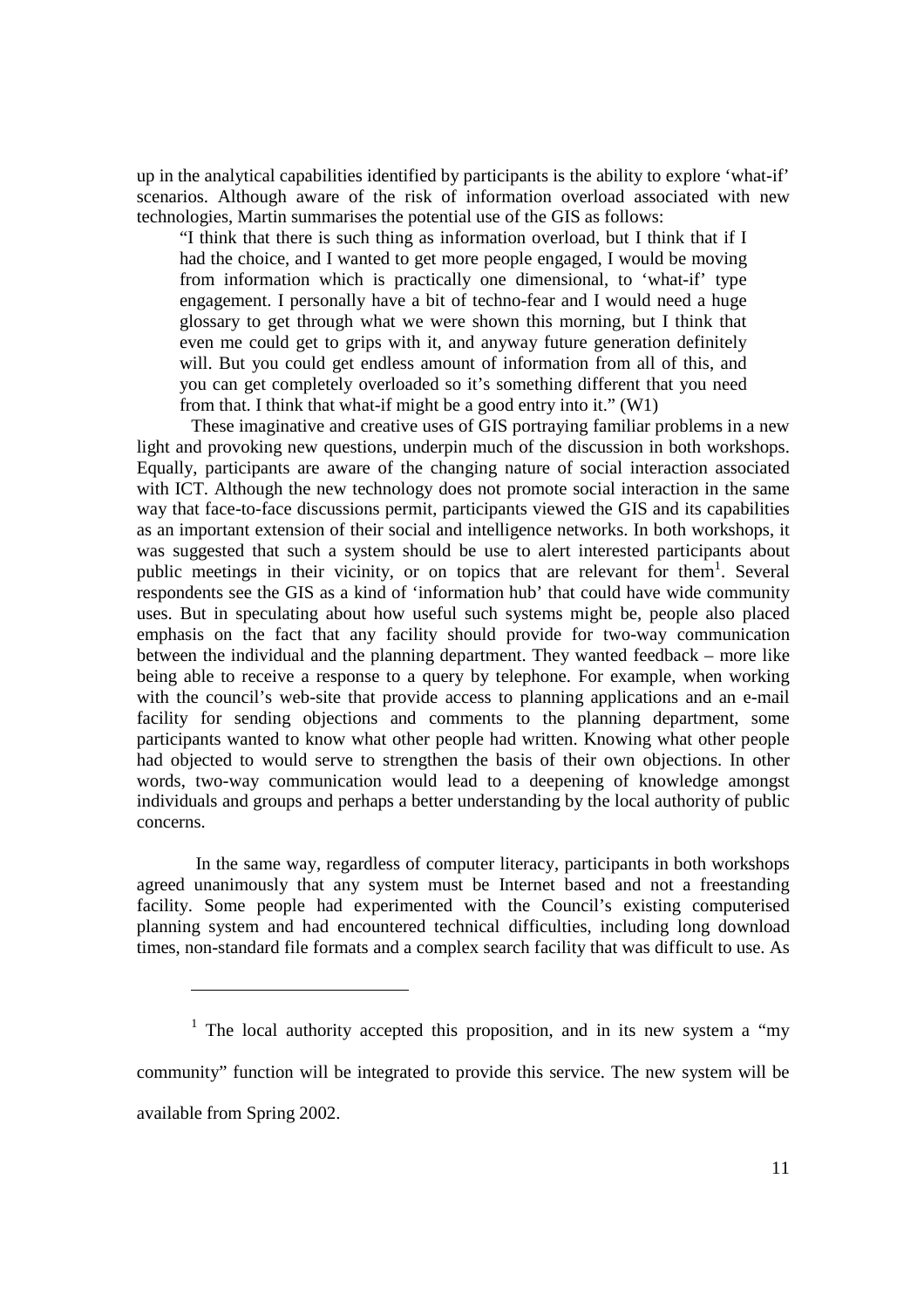up in the analytical capabilities identified by participants is the ability to explore 'what-if' scenarios. Although aware of the risk of information overload associated with new technologies, Martin summarises the potential use of the GIS as follows:

"I think that there is such thing as information overload, but I think that if I had the choice, and I wanted to get more people engaged, I would be moving from information which is practically one dimensional, to 'what-if' type engagement. I personally have a bit of techno-fear and I would need a huge glossary to get through what we were shown this morning, but I think that even me could get to grips with it, and anyway future generation definitely will. But you could get endless amount of information from all of this, and you can get completely overloaded so it's something different that you need from that. I think that what-if might be a good entry into it." (W1)

These imaginative and creative uses of GIS portraying familiar problems in a new light and provoking new questions, underpin much of the discussion in both workshops. Equally, participants are aware of the changing nature of social interaction associated with ICT. Although the new technology does not promote social interaction in the same way that face-to-face discussions permit, participants viewed the GIS and its capabilities as an important extension of their social and intelligence networks. In both workshops, it was suggested that such a system should be use to alert interested participants about public meetings in their vicinity, or on topics that are relevant for them<sup>1</sup>. Several respondents see the GIS as a kind of 'information hub' that could have wide community uses. But in speculating about how useful such systems might be, people also placed emphasis on the fact that any facility should provide for two-way communication between the individual and the planning department. They wanted feedback – more like being able to receive a response to a query by telephone. For example, when working with the council's web-site that provide access to planning applications and an e-mail facility for sending objections and comments to the planning department, some participants wanted to know what other people had written. Knowing what other people had objected to would serve to strengthen the basis of their own objections. In other words, two-way communication would lead to a deepening of knowledge amongst individuals and groups and perhaps a better understanding by the local authority of public concerns.

 In the same way, regardless of computer literacy, participants in both workshops agreed unanimously that any system must be Internet based and not a freestanding facility. Some people had experimented with the Council's existing computerised planning system and had encountered technical difficulties, including long download times, non-standard file formats and a complex search facility that was difficult to use. As

<sup>1</sup> The local authority accepted this proposition, and in its new system a "my community" function will be integrated to provide this service. The new system will be available from Spring 2002.

 $\overline{a}$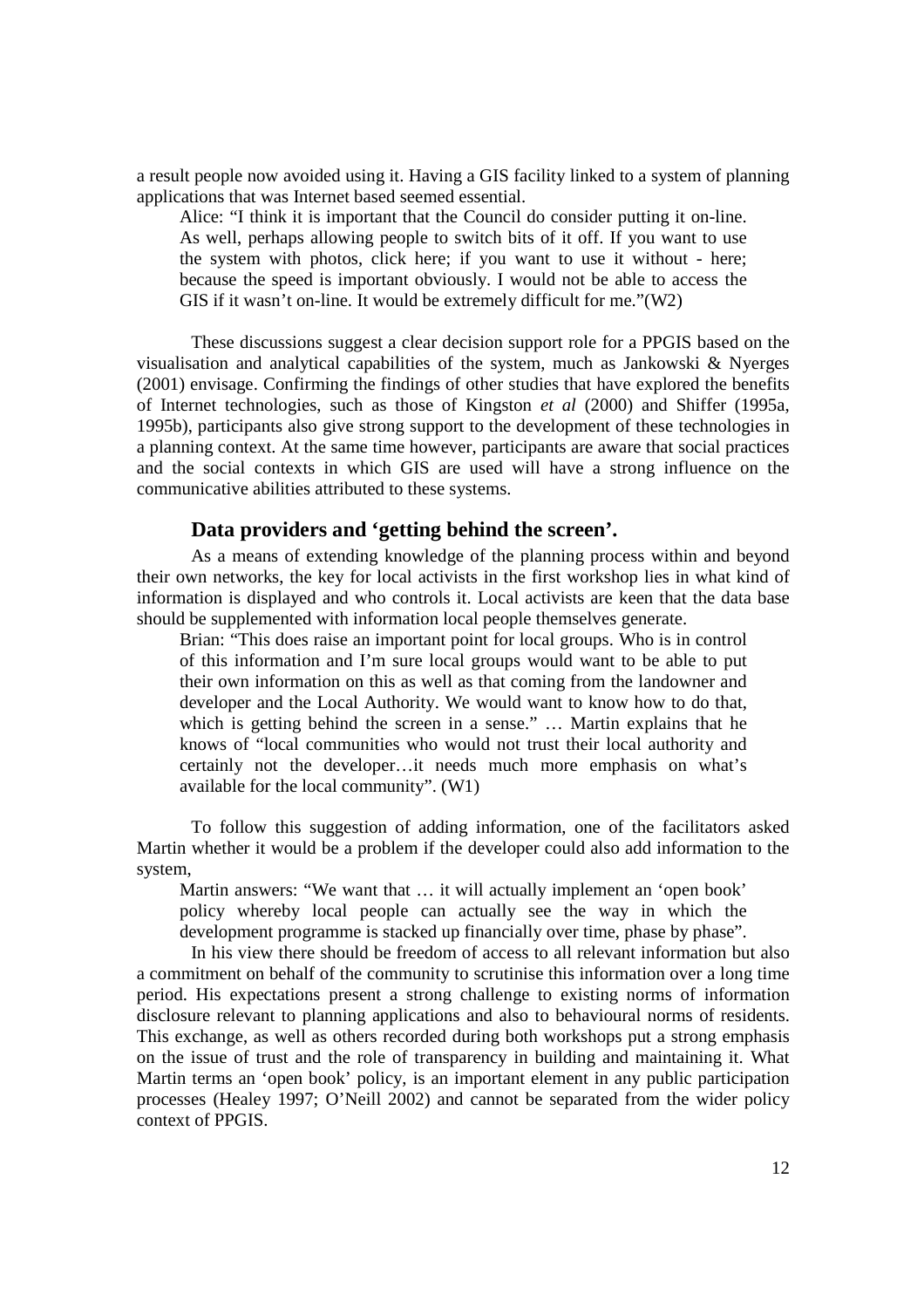a result people now avoided using it. Having a GIS facility linked to a system of planning applications that was Internet based seemed essential.

Alice: "I think it is important that the Council do consider putting it on-line. As well, perhaps allowing people to switch bits of it off. If you want to use the system with photos, click here; if you want to use it without - here; because the speed is important obviously. I would not be able to access the GIS if it wasn't on-line. It would be extremely difficult for me."(W2)

These discussions suggest a clear decision support role for a PPGIS based on the visualisation and analytical capabilities of the system, much as Jankowski & Nyerges (2001) envisage. Confirming the findings of other studies that have explored the benefits of Internet technologies, such as those of Kingston *et al* (2000) and Shiffer (1995a, 1995b), participants also give strong support to the development of these technologies in a planning context. At the same time however, participants are aware that social practices and the social contexts in which GIS are used will have a strong influence on the communicative abilities attributed to these systems.

### **Data providers and 'getting behind the screen'.**

As a means of extending knowledge of the planning process within and beyond their own networks, the key for local activists in the first workshop lies in what kind of information is displayed and who controls it. Local activists are keen that the data base should be supplemented with information local people themselves generate.

Brian: "This does raise an important point for local groups. Who is in control of this information and I'm sure local groups would want to be able to put their own information on this as well as that coming from the landowner and developer and the Local Authority. We would want to know how to do that, which is getting behind the screen in a sense." ... Martin explains that he knows of "local communities who would not trust their local authority and certainly not the developer…it needs much more emphasis on what's available for the local community". (W1)

To follow this suggestion of adding information, one of the facilitators asked Martin whether it would be a problem if the developer could also add information to the system,

Martin answers: "We want that … it will actually implement an 'open book' policy whereby local people can actually see the way in which the development programme is stacked up financially over time, phase by phase".

In his view there should be freedom of access to all relevant information but also a commitment on behalf of the community to scrutinise this information over a long time period. His expectations present a strong challenge to existing norms of information disclosure relevant to planning applications and also to behavioural norms of residents. This exchange, as well as others recorded during both workshops put a strong emphasis on the issue of trust and the role of transparency in building and maintaining it. What Martin terms an 'open book' policy, is an important element in any public participation processes (Healey 1997; O'Neill 2002) and cannot be separated from the wider policy context of PPGIS.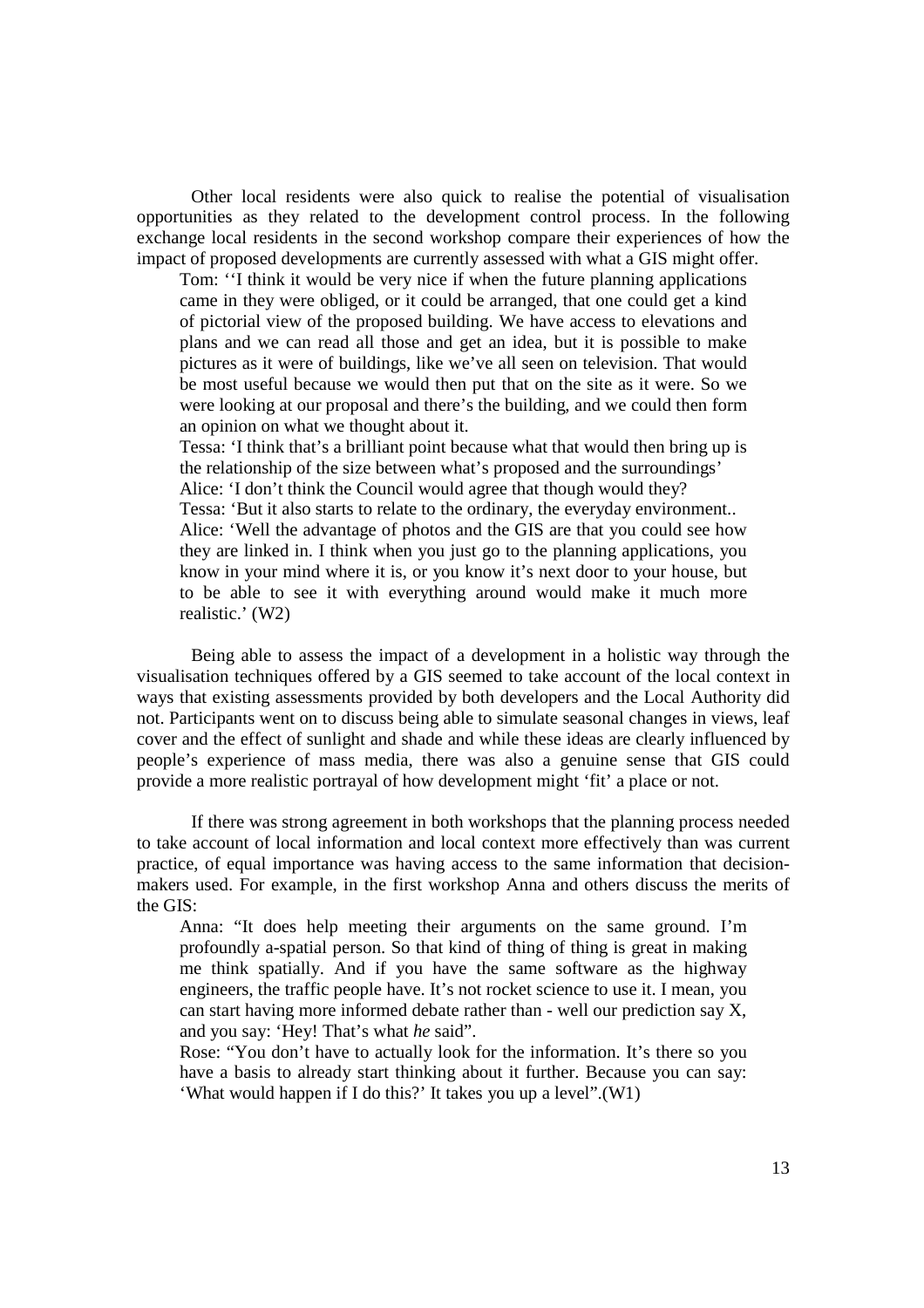Other local residents were also quick to realise the potential of visualisation opportunities as they related to the development control process. In the following exchange local residents in the second workshop compare their experiences of how the impact of proposed developments are currently assessed with what a GIS might offer.

Tom: ''I think it would be very nice if when the future planning applications came in they were obliged, or it could be arranged, that one could get a kind of pictorial view of the proposed building. We have access to elevations and plans and we can read all those and get an idea, but it is possible to make pictures as it were of buildings, like we've all seen on television. That would be most useful because we would then put that on the site as it were. So we were looking at our proposal and there's the building, and we could then form an opinion on what we thought about it.

Tessa: 'I think that's a brilliant point because what that would then bring up is the relationship of the size between what's proposed and the surroundings' Alice: 'I don't think the Council would agree that though would they?

Tessa: 'But it also starts to relate to the ordinary, the everyday environment.. Alice: 'Well the advantage of photos and the GIS are that you could see how they are linked in. I think when you just go to the planning applications, you know in your mind where it is, or you know it's next door to your house, but to be able to see it with everything around would make it much more realistic.' (W2)

Being able to assess the impact of a development in a holistic way through the visualisation techniques offered by a GIS seemed to take account of the local context in ways that existing assessments provided by both developers and the Local Authority did not. Participants went on to discuss being able to simulate seasonal changes in views, leaf cover and the effect of sunlight and shade and while these ideas are clearly influenced by people's experience of mass media, there was also a genuine sense that GIS could provide a more realistic portrayal of how development might 'fit' a place or not.

If there was strong agreement in both workshops that the planning process needed to take account of local information and local context more effectively than was current practice, of equal importance was having access to the same information that decisionmakers used. For example, in the first workshop Anna and others discuss the merits of the GIS:

Anna: "It does help meeting their arguments on the same ground. I'm profoundly a-spatial person. So that kind of thing of thing is great in making me think spatially. And if you have the same software as the highway engineers, the traffic people have. It's not rocket science to use it. I mean, you can start having more informed debate rather than - well our prediction say X, and you say: 'Hey! That's what *he* said".

Rose: "You don't have to actually look for the information. It's there so you have a basis to already start thinking about it further. Because you can say: 'What would happen if I do this?' It takes you up a level".(W1)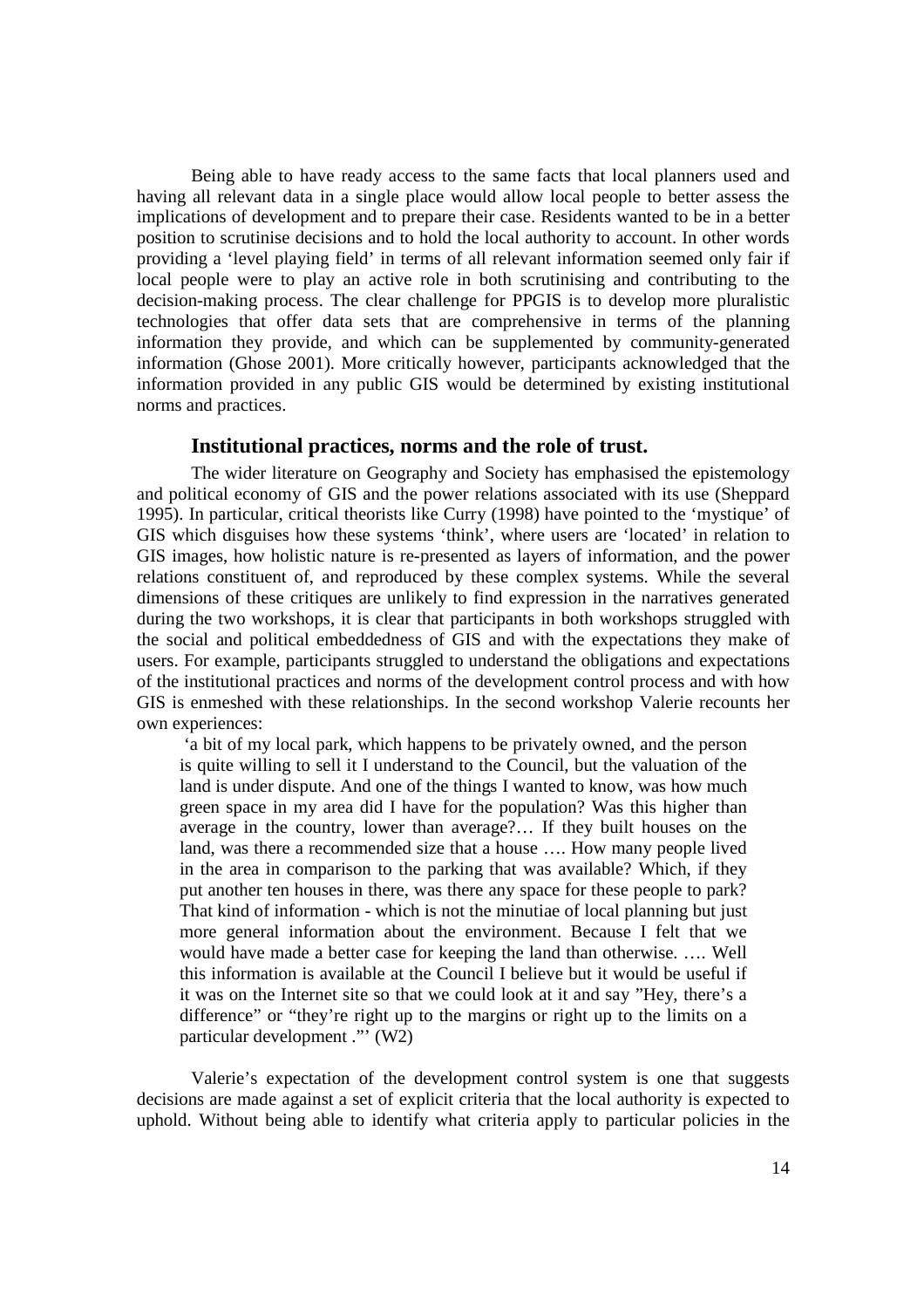Being able to have ready access to the same facts that local planners used and having all relevant data in a single place would allow local people to better assess the implications of development and to prepare their case. Residents wanted to be in a better position to scrutinise decisions and to hold the local authority to account. In other words providing a 'level playing field' in terms of all relevant information seemed only fair if local people were to play an active role in both scrutinising and contributing to the decision-making process. The clear challenge for PPGIS is to develop more pluralistic technologies that offer data sets that are comprehensive in terms of the planning information they provide, and which can be supplemented by community-generated information (Ghose 2001). More critically however, participants acknowledged that the information provided in any public GIS would be determined by existing institutional norms and practices.

### **Institutional practices, norms and the role of trust.**

The wider literature on Geography and Society has emphasised the epistemology and political economy of GIS and the power relations associated with its use (Sheppard 1995). In particular, critical theorists like Curry (1998) have pointed to the 'mystique' of GIS which disguises how these systems 'think', where users are 'located' in relation to GIS images, how holistic nature is re-presented as layers of information, and the power relations constituent of, and reproduced by these complex systems. While the several dimensions of these critiques are unlikely to find expression in the narratives generated during the two workshops, it is clear that participants in both workshops struggled with the social and political embeddedness of GIS and with the expectations they make of users. For example, participants struggled to understand the obligations and expectations of the institutional practices and norms of the development control process and with how GIS is enmeshed with these relationships. In the second workshop Valerie recounts her own experiences:

 'a bit of my local park, which happens to be privately owned, and the person is quite willing to sell it I understand to the Council, but the valuation of the land is under dispute. And one of the things I wanted to know, was how much green space in my area did I have for the population? Was this higher than average in the country, lower than average?… If they built houses on the land, was there a recommended size that a house …. How many people lived in the area in comparison to the parking that was available? Which, if they put another ten houses in there, was there any space for these people to park? That kind of information - which is not the minutiae of local planning but just more general information about the environment. Because I felt that we would have made a better case for keeping the land than otherwise. …. Well this information is available at the Council I believe but it would be useful if it was on the Internet site so that we could look at it and say "Hey, there's a difference" or "they're right up to the margins or right up to the limits on a particular development ."' (W2)

Valerie's expectation of the development control system is one that suggests decisions are made against a set of explicit criteria that the local authority is expected to uphold. Without being able to identify what criteria apply to particular policies in the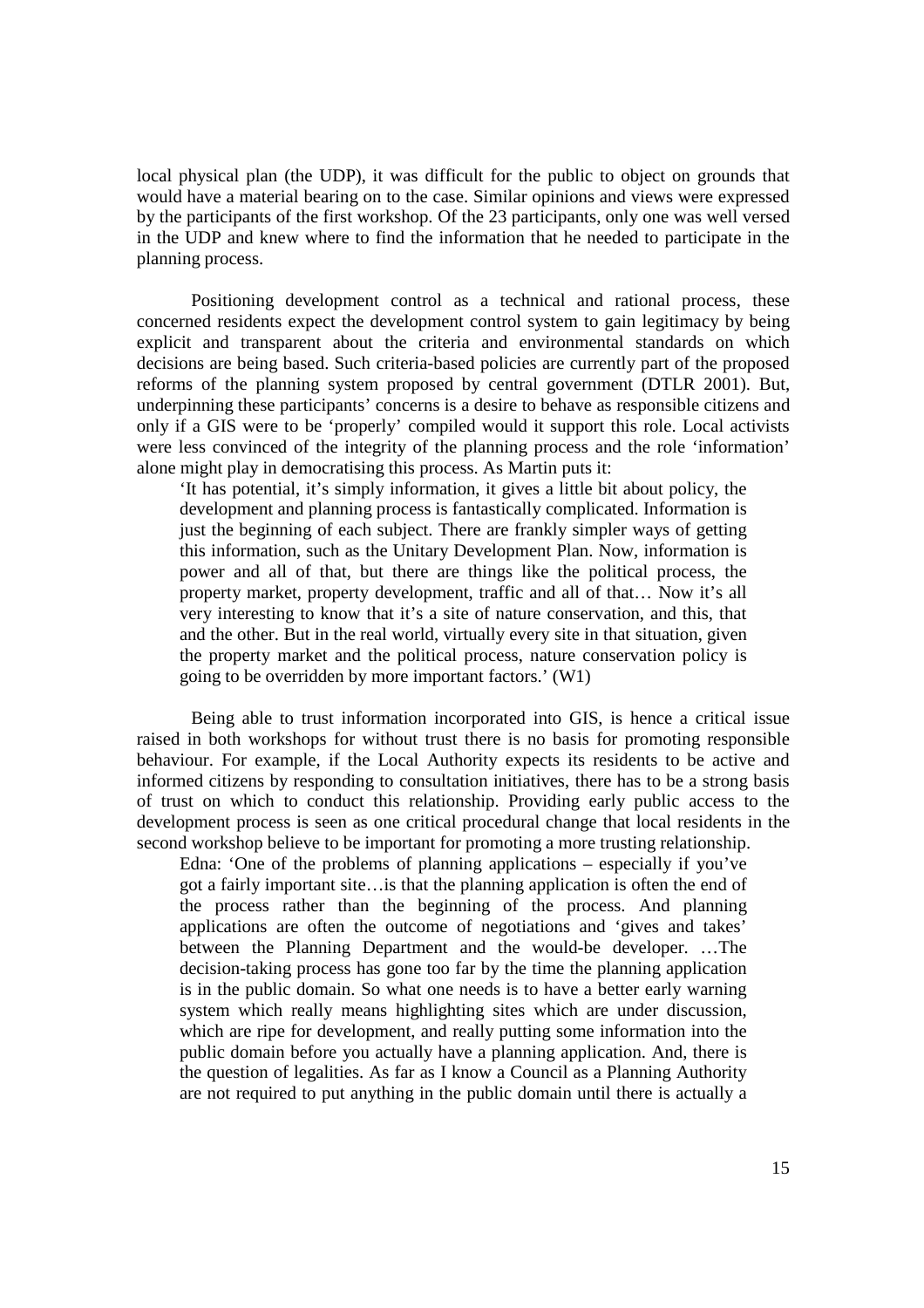local physical plan (the UDP), it was difficult for the public to object on grounds that would have a material bearing on to the case. Similar opinions and views were expressed by the participants of the first workshop. Of the 23 participants, only one was well versed in the UDP and knew where to find the information that he needed to participate in the planning process.

Positioning development control as a technical and rational process, these concerned residents expect the development control system to gain legitimacy by being explicit and transparent about the criteria and environmental standards on which decisions are being based. Such criteria-based policies are currently part of the proposed reforms of the planning system proposed by central government (DTLR 2001). But, underpinning these participants' concerns is a desire to behave as responsible citizens and only if a GIS were to be 'properly' compiled would it support this role. Local activists were less convinced of the integrity of the planning process and the role 'information' alone might play in democratising this process. As Martin puts it:

'It has potential, it's simply information, it gives a little bit about policy, the development and planning process is fantastically complicated. Information is just the beginning of each subject. There are frankly simpler ways of getting this information, such as the Unitary Development Plan. Now, information is power and all of that, but there are things like the political process, the property market, property development, traffic and all of that… Now it's all very interesting to know that it's a site of nature conservation, and this, that and the other. But in the real world, virtually every site in that situation, given the property market and the political process, nature conservation policy is going to be overridden by more important factors.' (W1)

Being able to trust information incorporated into GIS, is hence a critical issue raised in both workshops for without trust there is no basis for promoting responsible behaviour. For example, if the Local Authority expects its residents to be active and informed citizens by responding to consultation initiatives, there has to be a strong basis of trust on which to conduct this relationship. Providing early public access to the development process is seen as one critical procedural change that local residents in the second workshop believe to be important for promoting a more trusting relationship.

Edna: 'One of the problems of planning applications – especially if you've got a fairly important site…is that the planning application is often the end of the process rather than the beginning of the process. And planning applications are often the outcome of negotiations and 'gives and takes' between the Planning Department and the would-be developer. …The decision-taking process has gone too far by the time the planning application is in the public domain. So what one needs is to have a better early warning system which really means highlighting sites which are under discussion, which are ripe for development, and really putting some information into the public domain before you actually have a planning application. And, there is the question of legalities. As far as I know a Council as a Planning Authority are not required to put anything in the public domain until there is actually a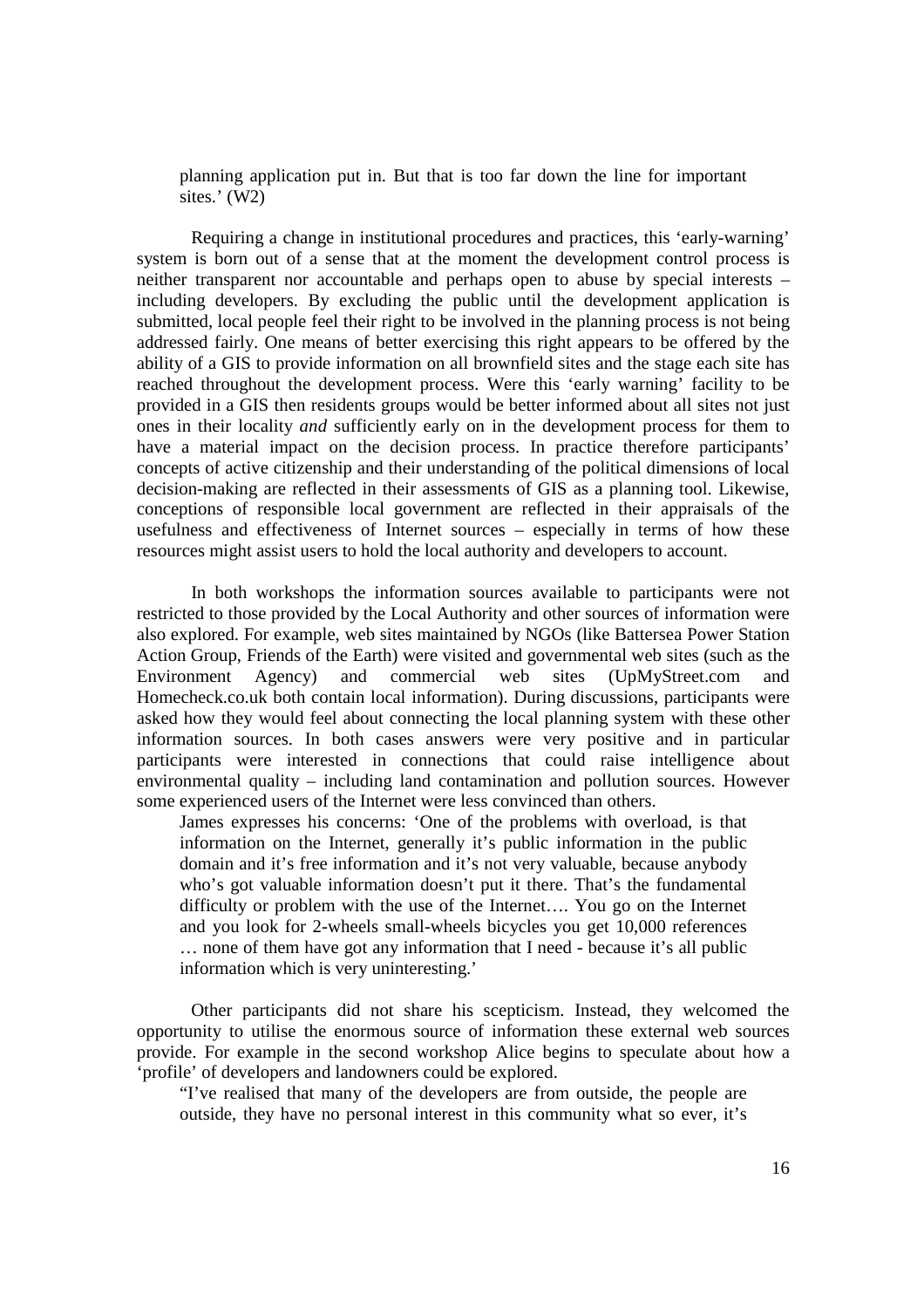planning application put in. But that is too far down the line for important sites.' (W2)

Requiring a change in institutional procedures and practices, this 'early-warning' system is born out of a sense that at the moment the development control process is neither transparent nor accountable and perhaps open to abuse by special interests – including developers. By excluding the public until the development application is submitted, local people feel their right to be involved in the planning process is not being addressed fairly. One means of better exercising this right appears to be offered by the ability of a GIS to provide information on all brownfield sites and the stage each site has reached throughout the development process. Were this 'early warning' facility to be provided in a GIS then residents groups would be better informed about all sites not just ones in their locality *and* sufficiently early on in the development process for them to have a material impact on the decision process. In practice therefore participants' concepts of active citizenship and their understanding of the political dimensions of local decision-making are reflected in their assessments of GIS as a planning tool. Likewise, conceptions of responsible local government are reflected in their appraisals of the usefulness and effectiveness of Internet sources – especially in terms of how these resources might assist users to hold the local authority and developers to account.

In both workshops the information sources available to participants were not restricted to those provided by the Local Authority and other sources of information were also explored. For example, web sites maintained by NGOs (like Battersea Power Station Action Group, Friends of the Earth) were visited and governmental web sites (such as the Environment Agency) and commercial web sites (UpMyStreet.com and Homecheck.co.uk both contain local information). During discussions, participants were asked how they would feel about connecting the local planning system with these other information sources. In both cases answers were very positive and in particular participants were interested in connections that could raise intelligence about environmental quality – including land contamination and pollution sources. However some experienced users of the Internet were less convinced than others.

James expresses his concerns: 'One of the problems with overload, is that information on the Internet, generally it's public information in the public domain and it's free information and it's not very valuable, because anybody who's got valuable information doesn't put it there. That's the fundamental difficulty or problem with the use of the Internet…. You go on the Internet and you look for 2-wheels small-wheels bicycles you get 10,000 references … none of them have got any information that I need - because it's all public information which is very uninteresting.'

Other participants did not share his scepticism. Instead, they welcomed the opportunity to utilise the enormous source of information these external web sources provide. For example in the second workshop Alice begins to speculate about how a 'profile' of developers and landowners could be explored.

"I've realised that many of the developers are from outside, the people are outside, they have no personal interest in this community what so ever, it's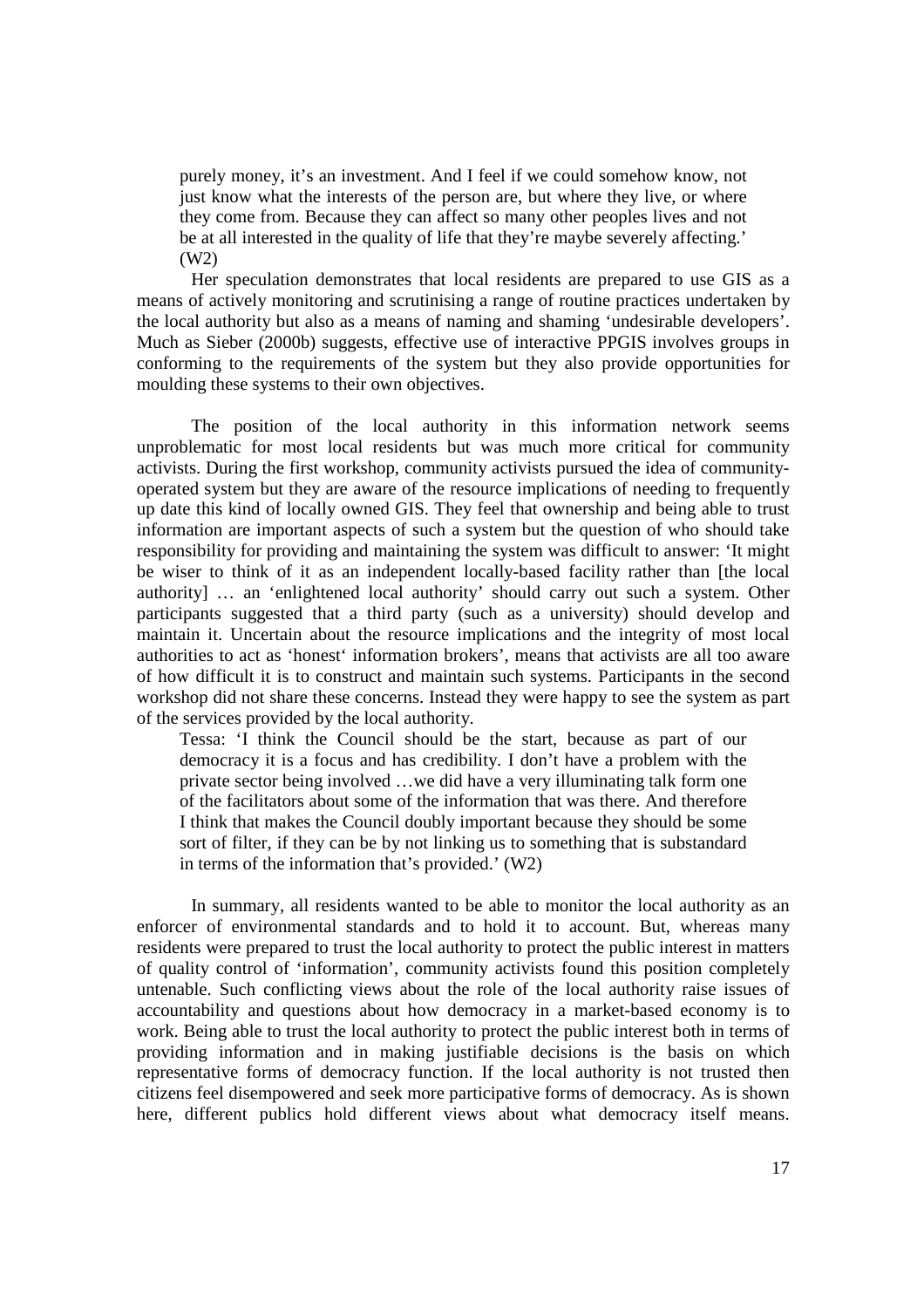purely money, it's an investment. And I feel if we could somehow know, not just know what the interests of the person are, but where they live, or where they come from. Because they can affect so many other peoples lives and not be at all interested in the quality of life that they're maybe severely affecting.' (W2)

Her speculation demonstrates that local residents are prepared to use GIS as a means of actively monitoring and scrutinising a range of routine practices undertaken by the local authority but also as a means of naming and shaming 'undesirable developers'. Much as Sieber (2000b) suggests, effective use of interactive PPGIS involves groups in conforming to the requirements of the system but they also provide opportunities for moulding these systems to their own objectives.

The position of the local authority in this information network seems unproblematic for most local residents but was much more critical for community activists. During the first workshop, community activists pursued the idea of communityoperated system but they are aware of the resource implications of needing to frequently up date this kind of locally owned GIS. They feel that ownership and being able to trust information are important aspects of such a system but the question of who should take responsibility for providing and maintaining the system was difficult to answer: 'It might be wiser to think of it as an independent locally-based facility rather than [the local authority] … an 'enlightened local authority' should carry out such a system. Other participants suggested that a third party (such as a university) should develop and maintain it. Uncertain about the resource implications and the integrity of most local authorities to act as 'honest' information brokers', means that activists are all too aware of how difficult it is to construct and maintain such systems. Participants in the second workshop did not share these concerns. Instead they were happy to see the system as part of the services provided by the local authority.

Tessa: 'I think the Council should be the start, because as part of our democracy it is a focus and has credibility. I don't have a problem with the private sector being involved …we did have a very illuminating talk form one of the facilitators about some of the information that was there. And therefore I think that makes the Council doubly important because they should be some sort of filter, if they can be by not linking us to something that is substandard in terms of the information that's provided.' (W2)

In summary, all residents wanted to be able to monitor the local authority as an enforcer of environmental standards and to hold it to account. But, whereas many residents were prepared to trust the local authority to protect the public interest in matters of quality control of 'information', community activists found this position completely untenable. Such conflicting views about the role of the local authority raise issues of accountability and questions about how democracy in a market-based economy is to work. Being able to trust the local authority to protect the public interest both in terms of providing information and in making justifiable decisions is the basis on which representative forms of democracy function. If the local authority is not trusted then citizens feel disempowered and seek more participative forms of democracy. As is shown here, different publics hold different views about what democracy itself means.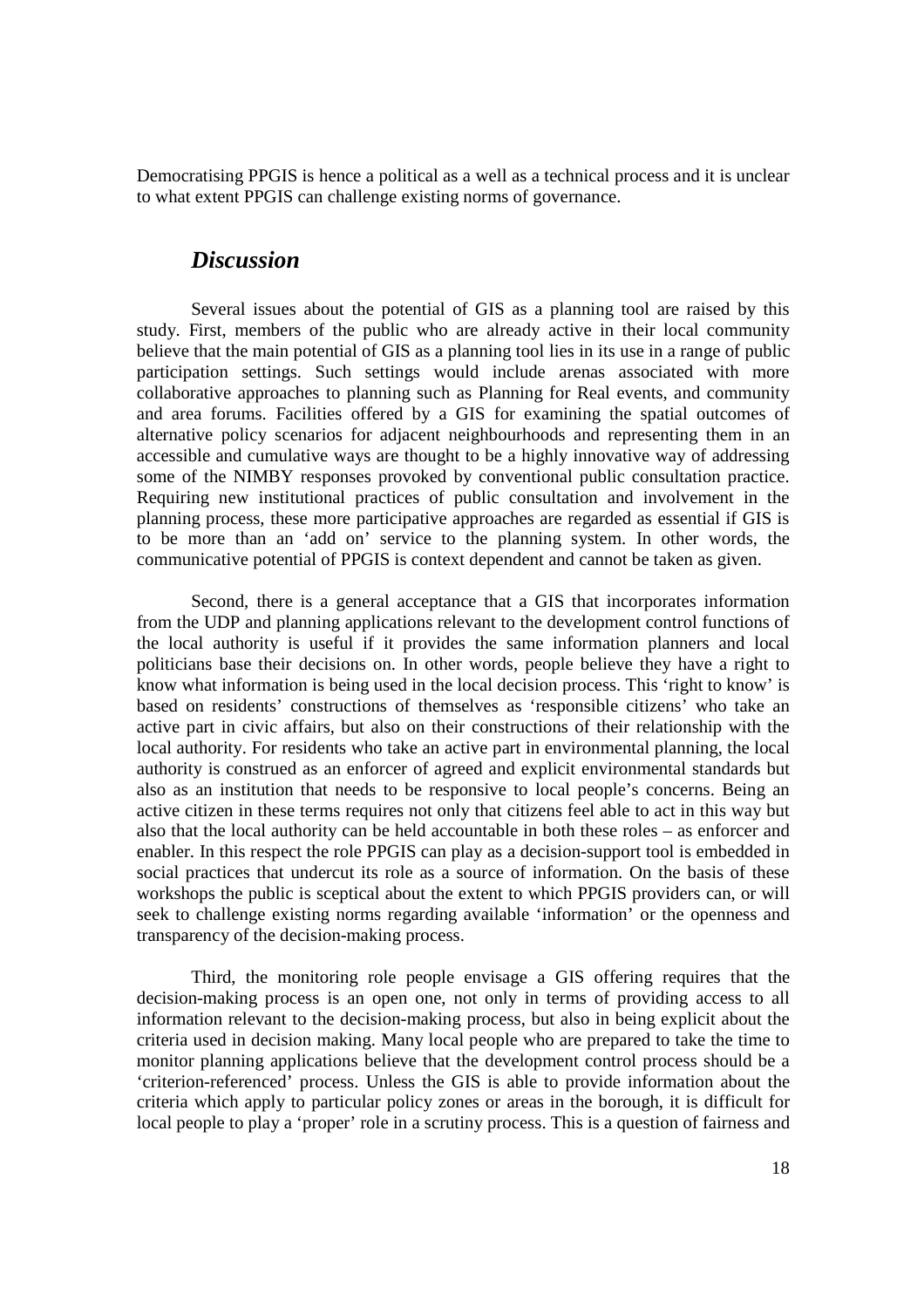Democratising PPGIS is hence a political as a well as a technical process and it is unclear to what extent PPGIS can challenge existing norms of governance.

## *Discussion*

Several issues about the potential of GIS as a planning tool are raised by this study. First, members of the public who are already active in their local community believe that the main potential of GIS as a planning tool lies in its use in a range of public participation settings. Such settings would include arenas associated with more collaborative approaches to planning such as Planning for Real events, and community and area forums. Facilities offered by a GIS for examining the spatial outcomes of alternative policy scenarios for adjacent neighbourhoods and representing them in an accessible and cumulative ways are thought to be a highly innovative way of addressing some of the NIMBY responses provoked by conventional public consultation practice. Requiring new institutional practices of public consultation and involvement in the planning process, these more participative approaches are regarded as essential if GIS is to be more than an 'add on' service to the planning system. In other words, the communicative potential of PPGIS is context dependent and cannot be taken as given.

Second, there is a general acceptance that a GIS that incorporates information from the UDP and planning applications relevant to the development control functions of the local authority is useful if it provides the same information planners and local politicians base their decisions on. In other words, people believe they have a right to know what information is being used in the local decision process. This 'right to know' is based on residents' constructions of themselves as 'responsible citizens' who take an active part in civic affairs, but also on their constructions of their relationship with the local authority. For residents who take an active part in environmental planning, the local authority is construed as an enforcer of agreed and explicit environmental standards but also as an institution that needs to be responsive to local people's concerns. Being an active citizen in these terms requires not only that citizens feel able to act in this way but also that the local authority can be held accountable in both these roles – as enforcer and enabler. In this respect the role PPGIS can play as a decision-support tool is embedded in social practices that undercut its role as a source of information. On the basis of these workshops the public is sceptical about the extent to which PPGIS providers can, or will seek to challenge existing norms regarding available 'information' or the openness and transparency of the decision-making process.

Third, the monitoring role people envisage a GIS offering requires that the decision-making process is an open one, not only in terms of providing access to all information relevant to the decision-making process, but also in being explicit about the criteria used in decision making. Many local people who are prepared to take the time to monitor planning applications believe that the development control process should be a 'criterion-referenced' process. Unless the GIS is able to provide information about the criteria which apply to particular policy zones or areas in the borough, it is difficult for local people to play a 'proper' role in a scrutiny process. This is a question of fairness and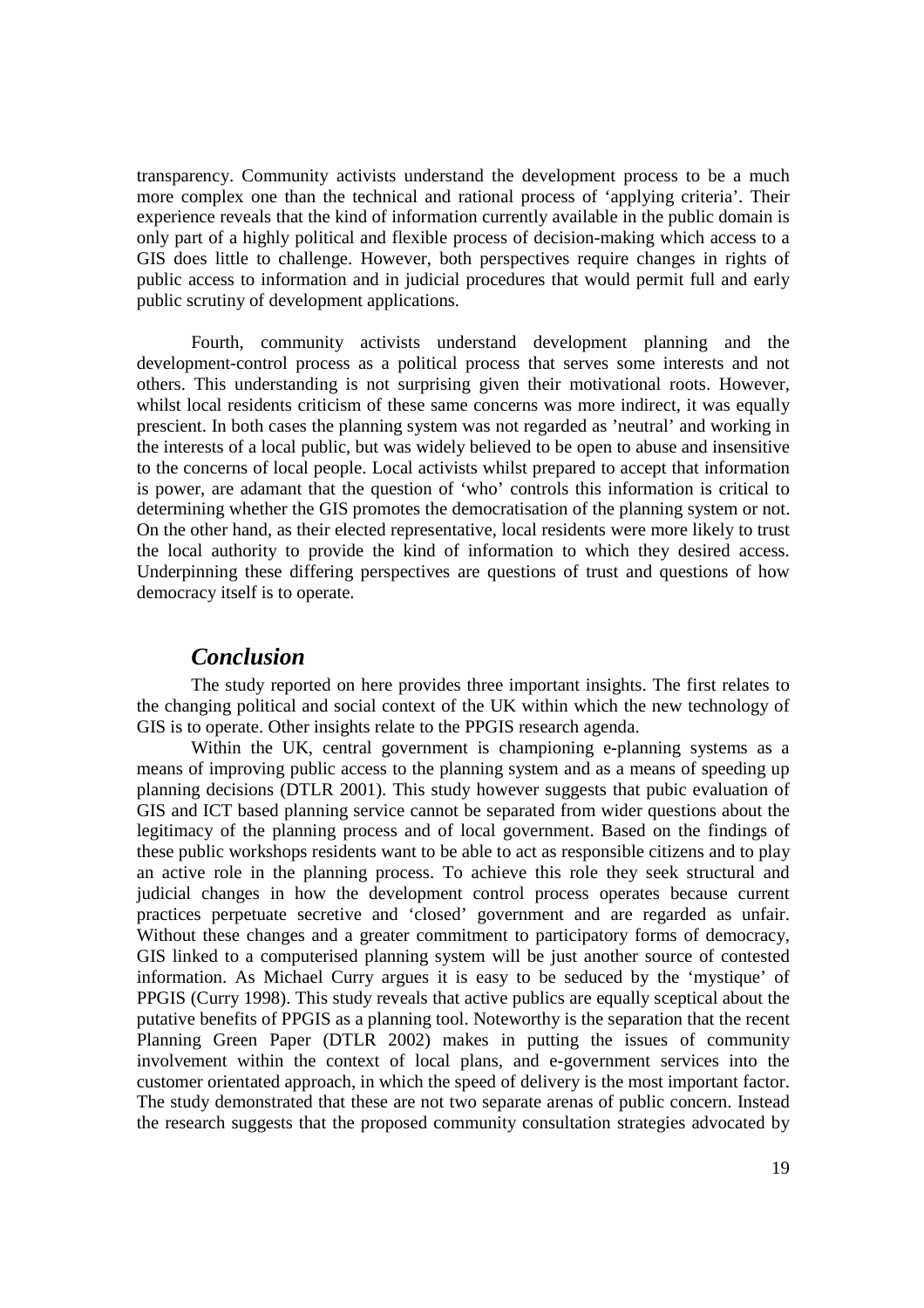transparency. Community activists understand the development process to be a much more complex one than the technical and rational process of 'applying criteria'. Their experience reveals that the kind of information currently available in the public domain is only part of a highly political and flexible process of decision-making which access to a GIS does little to challenge. However, both perspectives require changes in rights of public access to information and in judicial procedures that would permit full and early public scrutiny of development applications.

Fourth, community activists understand development planning and the development-control process as a political process that serves some interests and not others. This understanding is not surprising given their motivational roots. However, whilst local residents criticism of these same concerns was more indirect, it was equally prescient. In both cases the planning system was not regarded as 'neutral' and working in the interests of a local public, but was widely believed to be open to abuse and insensitive to the concerns of local people. Local activists whilst prepared to accept that information is power, are adamant that the question of 'who' controls this information is critical to determining whether the GIS promotes the democratisation of the planning system or not. On the other hand, as their elected representative, local residents were more likely to trust the local authority to provide the kind of information to which they desired access. Underpinning these differing perspectives are questions of trust and questions of how democracy itself is to operate.

### *Conclusion*

The study reported on here provides three important insights. The first relates to the changing political and social context of the UK within which the new technology of GIS is to operate. Other insights relate to the PPGIS research agenda.

Within the UK, central government is championing e-planning systems as a means of improving public access to the planning system and as a means of speeding up planning decisions (DTLR 2001). This study however suggests that pubic evaluation of GIS and ICT based planning service cannot be separated from wider questions about the legitimacy of the planning process and of local government. Based on the findings of these public workshops residents want to be able to act as responsible citizens and to play an active role in the planning process. To achieve this role they seek structural and judicial changes in how the development control process operates because current practices perpetuate secretive and 'closed' government and are regarded as unfair. Without these changes and a greater commitment to participatory forms of democracy, GIS linked to a computerised planning system will be just another source of contested information. As Michael Curry argues it is easy to be seduced by the 'mystique' of PPGIS (Curry 1998). This study reveals that active publics are equally sceptical about the putative benefits of PPGIS as a planning tool. Noteworthy is the separation that the recent Planning Green Paper (DTLR 2002) makes in putting the issues of community involvement within the context of local plans, and e-government services into the customer orientated approach, in which the speed of delivery is the most important factor. The study demonstrated that these are not two separate arenas of public concern. Instead the research suggests that the proposed community consultation strategies advocated by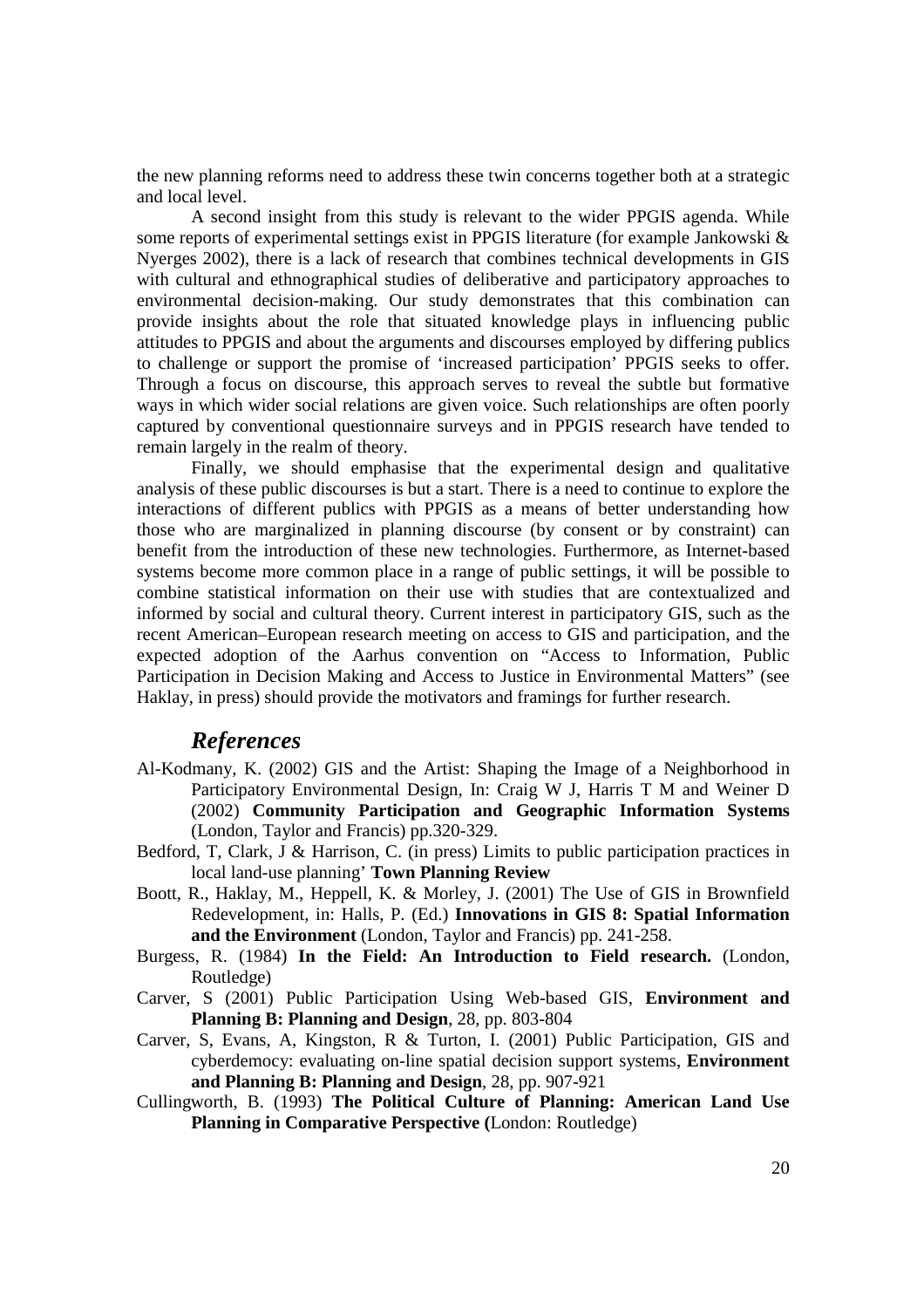the new planning reforms need to address these twin concerns together both at a strategic and local level.

A second insight from this study is relevant to the wider PPGIS agenda. While some reports of experimental settings exist in PPGIS literature (for example Jankowski & Nyerges 2002), there is a lack of research that combines technical developments in GIS with cultural and ethnographical studies of deliberative and participatory approaches to environmental decision-making. Our study demonstrates that this combination can provide insights about the role that situated knowledge plays in influencing public attitudes to PPGIS and about the arguments and discourses employed by differing publics to challenge or support the promise of 'increased participation' PPGIS seeks to offer. Through a focus on discourse, this approach serves to reveal the subtle but formative ways in which wider social relations are given voice. Such relationships are often poorly captured by conventional questionnaire surveys and in PPGIS research have tended to remain largely in the realm of theory.

Finally, we should emphasise that the experimental design and qualitative analysis of these public discourses is but a start. There is a need to continue to explore the interactions of different publics with PPGIS as a means of better understanding how those who are marginalized in planning discourse (by consent or by constraint) can benefit from the introduction of these new technologies. Furthermore, as Internet-based systems become more common place in a range of public settings, it will be possible to combine statistical information on their use with studies that are contextualized and informed by social and cultural theory. Current interest in participatory GIS, such as the recent American–European research meeting on access to GIS and participation, and the expected adoption of the Aarhus convention on "Access to Information, Public Participation in Decision Making and Access to Justice in Environmental Matters" (see Haklay, in press) should provide the motivators and framings for further research.

## *References*

- Al-Kodmany, K. (2002) GIS and the Artist: Shaping the Image of a Neighborhood in Participatory Environmental Design, In: Craig W J, Harris T M and Weiner D (2002) **Community Participation and Geographic Information Systems** (London, Taylor and Francis) pp.320-329.
- Bedford, T, Clark, J & Harrison, C. (in press) Limits to public participation practices in local land-use planning' **Town Planning Review**
- Boott, R., Haklay, M., Heppell, K. & Morley, J. (2001) The Use of GIS in Brownfield Redevelopment, in: Halls, P. (Ed.) **Innovations in GIS 8: Spatial Information and the Environment** (London, Taylor and Francis) pp. 241-258.
- Burgess, R. (1984) **In the Field: An Introduction to Field research.** (London, Routledge)
- Carver, S (2001) Public Participation Using Web-based GIS, **Environment and Planning B: Planning and Design**, 28, pp. 803-804
- Carver, S, Evans, A, Kingston, R & Turton, I. (2001) Public Participation, GIS and cyberdemocy: evaluating on-line spatial decision support systems, **Environment and Planning B: Planning and Design**, 28, pp. 907-921
- Cullingworth, B. (1993) **The Political Culture of Planning: American Land Use Planning in Comparative Perspective (**London: Routledge)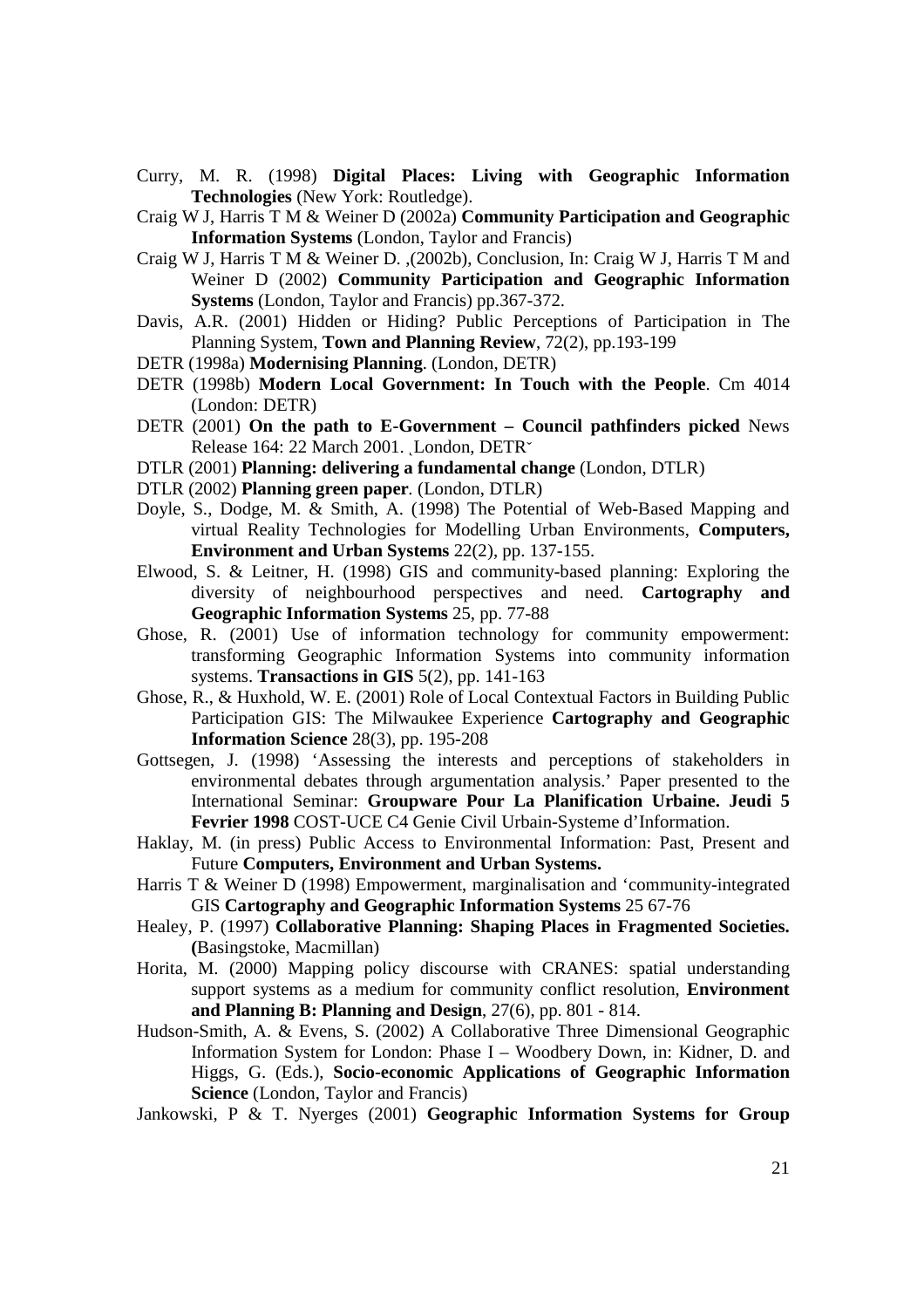- Curry, M. R. (1998) **Digital Places: Living with Geographic Information Technologies** (New York: Routledge).
- Craig W J, Harris T M & Weiner D (2002a) **Community Participation and Geographic Information Systems** (London, Taylor and Francis)
- Craig W J, Harris T M & Weiner D. ,(2002b), Conclusion, In: Craig W J, Harris T M and Weiner D (2002) **Community Participation and Geographic Information Systems** (London, Taylor and Francis) pp.367-372.
- Davis, A.R. (2001) Hidden or Hiding? Public Perceptions of Participation in The Planning System, **Town and Planning Review**, 72(2), pp.193-199
- DETR (1998a) **Modernising Planning**. (London, DETR)
- DETR (1998b) **Modern Local Government: In Touch with the People**. Cm 4014 (London: DETR)
- DETR (2001) **On the path to E-Government Council pathfinders picked** News Release 164: 22 March 2001. London, DETR<sup>v</sup>
- DTLR (2001) **Planning: delivering a fundamental change** (London, DTLR)
- DTLR (2002) **Planning green paper***.* (London, DTLR)
- Doyle, S., Dodge, M. & Smith, A. (1998) The Potential of Web-Based Mapping and virtual Reality Technologies for Modelling Urban Environments, **Computers, Environment and Urban Systems** 22(2), pp. 137-155.
- Elwood, S. & Leitner, H. (1998) GIS and community-based planning: Exploring the diversity of neighbourhood perspectives and need. **Cartography and Geographic Information Systems** 25, pp. 77-88
- Ghose, R. (2001) Use of information technology for community empowerment: transforming Geographic Information Systems into community information systems. **Transactions in GIS** 5(2), pp. 141-163
- Ghose, R., & Huxhold, W. E. (2001) Role of Local Contextual Factors in Building Public Participation GIS: The Milwaukee Experience **Cartography and Geographic Information Science** 28(3), pp. 195-208
- Gottsegen, J. (1998) 'Assessing the interests and perceptions of stakeholders in environmental debates through argumentation analysis.' Paper presented to the International Seminar: **Groupware Pour La Planification Urbaine. Jeudi 5 Fevrier 1998** COST-UCE C4 Genie Civil Urbain-Systeme d'Information.
- Haklay, M. (in press) Public Access to Environmental Information: Past, Present and Future **Computers, Environment and Urban Systems.**
- Harris T & Weiner D (1998) Empowerment, marginalisation and 'community-integrated GIS **Cartography and Geographic Information Systems** 25 67-76
- Healey, P. (1997) **Collaborative Planning: Shaping Places in Fragmented Societies. (**Basingstoke, Macmillan)
- Horita, M. (2000) Mapping policy discourse with CRANES: spatial understanding support systems as a medium for community conflict resolution, **Environment and Planning B: Planning and Design**, 27(6), pp. 801 - 814.
- Hudson-Smith, A. & Evens, S. (2002) A Collaborative Three Dimensional Geographic Information System for London: Phase I – Woodbery Down, in: Kidner, D. and Higgs, G. (Eds.), **Socio-economic Applications of Geographic Information Science** (London, Taylor and Francis)
- Jankowski, P & T. Nyerges (2001) **Geographic Information Systems for Group**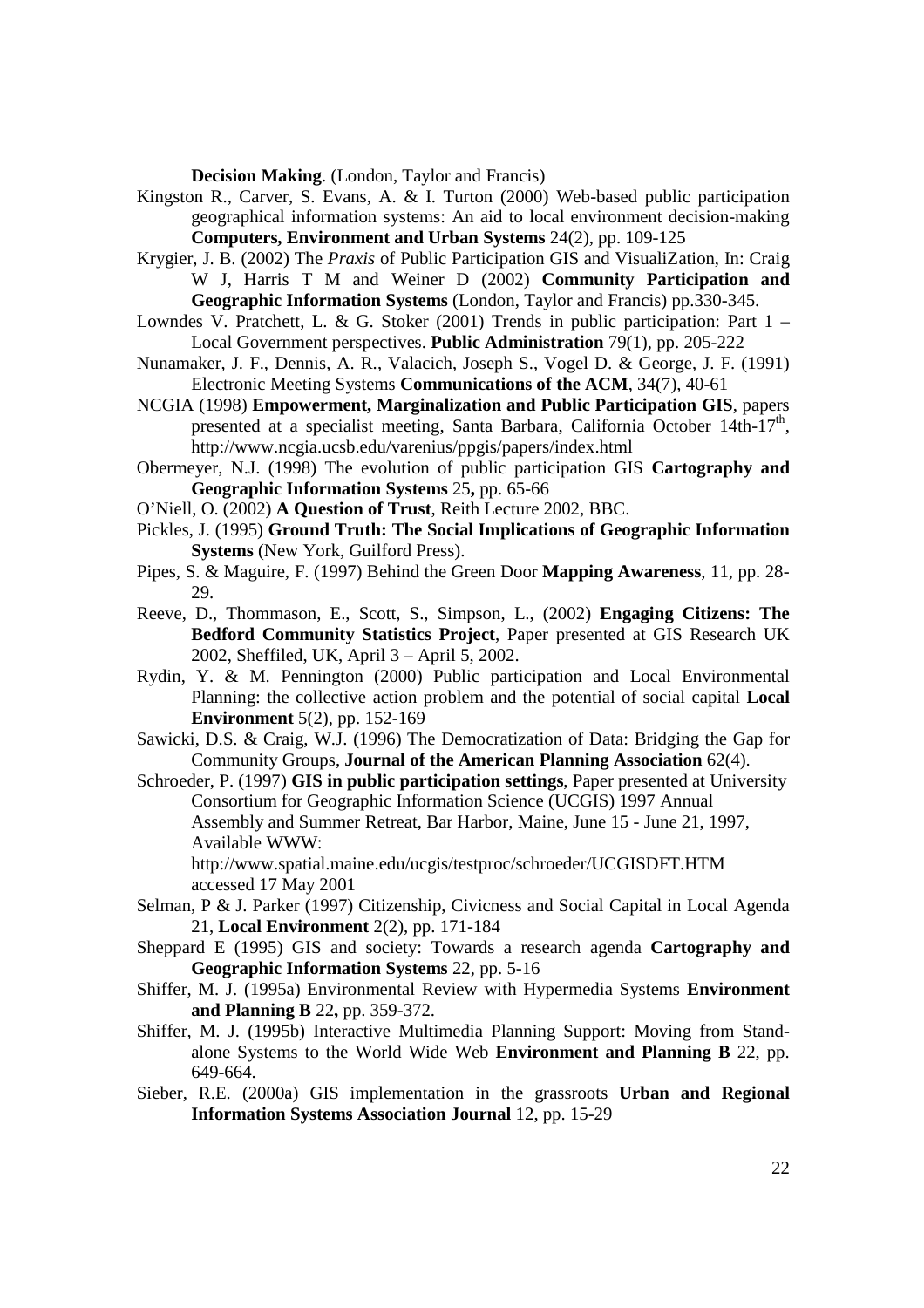**Decision Making**. (London, Taylor and Francis)

- Kingston R., Carver, S. Evans, A. & I. Turton (2000) Web-based public participation geographical information systems: An aid to local environment decision-making **Computers, Environment and Urban Systems** 24(2), pp. 109-125
- Krygier, J. B. (2002) The *Praxis* of Public Participation GIS and VisualiZation, In: Craig W J, Harris T M and Weiner D (2002) **Community Participation and Geographic Information Systems** (London, Taylor and Francis) pp.330-345.
- Lowndes V. Pratchett, L. & G. Stoker (2001) Trends in public participation: Part 1 Local Government perspectives. **Public Administration** 79(1), pp. 205-222
- Nunamaker, J. F., Dennis, A. R., Valacich, Joseph S., Vogel D. & George, J. F. (1991) Electronic Meeting Systems **Communications of the ACM**, 34(7), 40-61
- NCGIA (1998) **Empowerment, Marginalization and Public Participation GIS**, papers presented at a specialist meeting, Santa Barbara, California October 14th-17<sup>th</sup>, http://www.ncgia.ucsb.edu/varenius/ppgis/papers/index.html
- Obermeyer, N.J. (1998) The evolution of public participation GIS **Cartography and Geographic Information Systems** 25**,** pp. 65-66
- O'Niell, O. (2002) **A Question of Trust**, Reith Lecture 2002, BBC.
- Pickles, J. (1995) **Ground Truth: The Social Implications of Geographic Information Systems** (New York, Guilford Press).
- Pipes, S. & Maguire, F. (1997) Behind the Green Door **Mapping Awareness**, 11, pp. 28- 29.
- Reeve, D., Thommason, E., Scott, S., Simpson, L., (2002) **Engaging Citizens: The Bedford Community Statistics Project**, Paper presented at GIS Research UK 2002, Sheffiled, UK, April 3 – April 5, 2002.
- Rydin, Y. & M. Pennington (2000) Public participation and Local Environmental Planning: the collective action problem and the potential of social capital **Local Environment** 5(2), pp. 152-169
- Sawicki, D.S. & Craig, W.J. (1996) The Democratization of Data: Bridging the Gap for Community Groups, **Journal of the American Planning Association** 62(4).
- Schroeder, P. (1997) **GIS in public participation settings**, Paper presented at University Consortium for Geographic Information Science (UCGIS) 1997 Annual Assembly and Summer Retreat, Bar Harbor, Maine, June 15 - June 21, 1997, Available WWW: http://www.spatial.maine.edu/ucgis/testproc/schroeder/UCGISDFT.HTM

accessed 17 May 2001

- Selman, P & J. Parker (1997) Citizenship, Civicness and Social Capital in Local Agenda 21, **Local Environment** 2(2), pp. 171-184
- Sheppard E (1995) GIS and society: Towards a research agenda **Cartography and Geographic Information Systems** 22, pp. 5-16
- Shiffer, M. J. (1995a) Environmental Review with Hypermedia Systems **Environment and Planning B** 22**,** pp. 359-372.
- Shiffer, M. J. (1995b) Interactive Multimedia Planning Support: Moving from Standalone Systems to the World Wide Web **Environment and Planning B** 22, pp. 649-664.
- Sieber, R.E. (2000a) GIS implementation in the grassroots **Urban and Regional Information Systems Association Journal** 12, pp. 15-29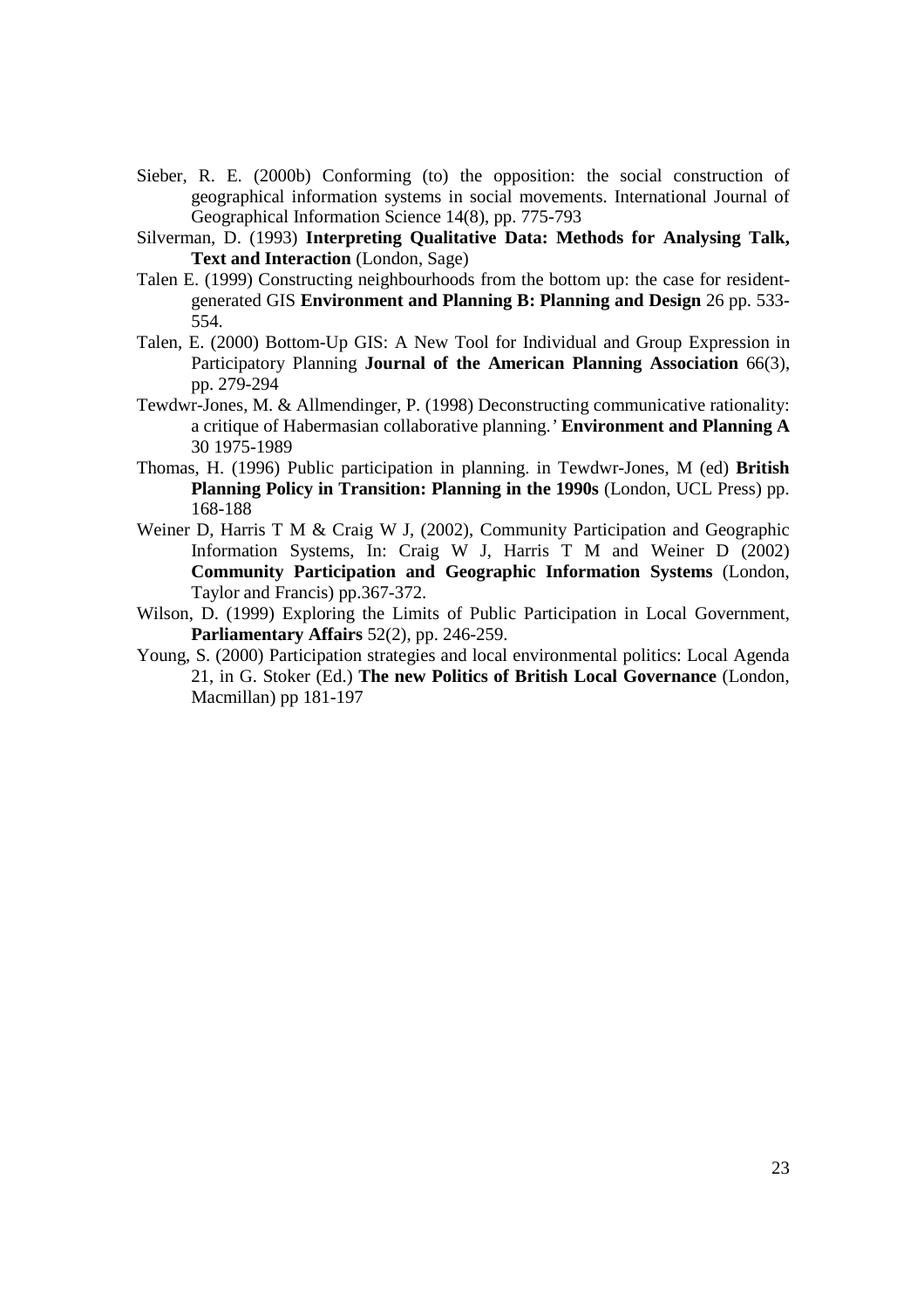- Sieber, R. E. (2000b) Conforming (to) the opposition: the social construction of geographical information systems in social movements. International Journal of Geographical Information Science 14(8), pp. 775-793
- Silverman, D. (1993) **Interpreting Qualitative Data: Methods for Analysing Talk, Text and Interaction** (London, Sage)
- Talen E. (1999) Constructing neighbourhoods from the bottom up: the case for residentgenerated GIS **Environment and Planning B: Planning and Design** 26 pp. 533- 554.
- Talen, E. (2000) Bottom-Up GIS: A New Tool for Individual and Group Expression in Participatory Planning **Journal of the American Planning Association** 66(3), pp. 279-294
- Tewdwr-Jones, M. & Allmendinger, P. (1998) Deconstructing communicative rationality: a critique of Habermasian collaborative planning.*'* **Environment and Planning A** 30 1975-1989
- Thomas, H. (1996) Public participation in planning. in Tewdwr-Jones, M (ed) **British Planning Policy in Transition: Planning in the 1990s** (London, UCL Press) pp. 168-188
- Weiner D, Harris T M & Craig W J, (2002), Community Participation and Geographic Information Systems, In: Craig W J, Harris T M and Weiner D (2002) **Community Participation and Geographic Information Systems** (London, Taylor and Francis) pp.367-372.
- Wilson, D. (1999) Exploring the Limits of Public Participation in Local Government, **Parliamentary Affairs** 52(2), pp. 246-259.
- Young, S. (2000) Participation strategies and local environmental politics: Local Agenda 21, in G. Stoker (Ed.) **The new Politics of British Local Governance** (London, Macmillan) pp 181-197